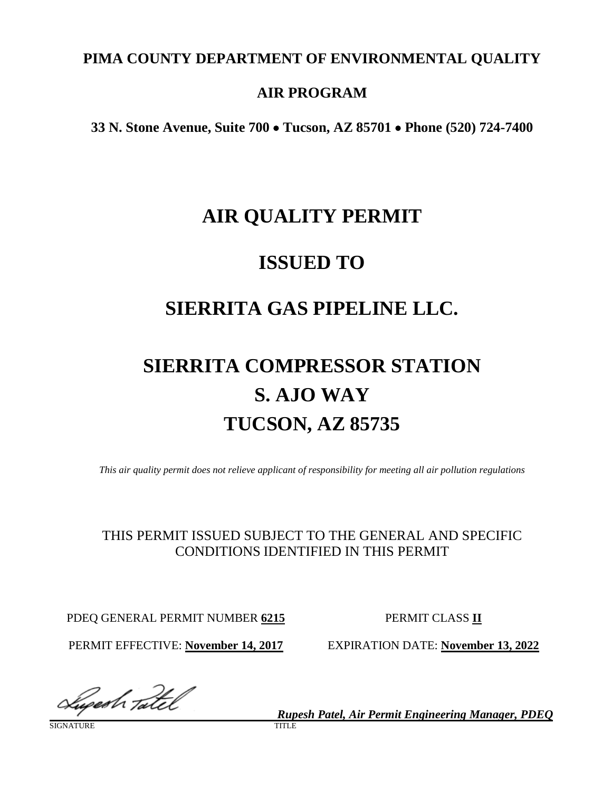# **PIMA COUNTY DEPARTMENT OF ENVIRONMENTAL QUALITY**

# **AIR PROGRAM**

**33 N. Stone Avenue, Suite 700** • **Tucson, AZ 85701** • **Phone (520) 724-7400**

# **AIR QUALITY PERMIT**

# **ISSUED TO**

# **SIERRITA GAS PIPELINE LLC.**

# **SIERRITA COMPRESSOR STATION S. AJO WAY TUCSON, AZ 85735**

*This air quality permit does not relieve applicant of responsibility for meeting all air pollution regulations*

# THIS PERMIT ISSUED SUBJECT TO THE GENERAL AND SPECIFIC CONDITIONS IDENTIFIED IN THIS PERMIT

PDEQ GENERAL PERMIT NUMBER **6215** PERMIT CLASS **II**

PERMIT EFFECTIVE: **November 14, 2017** EXPIRATION DATE: **November 13, 2022**

Sugesh Tatel

**SIGNATURE** 

*Rupesh Patel, Air Permit Engineering Manager, PDEQ*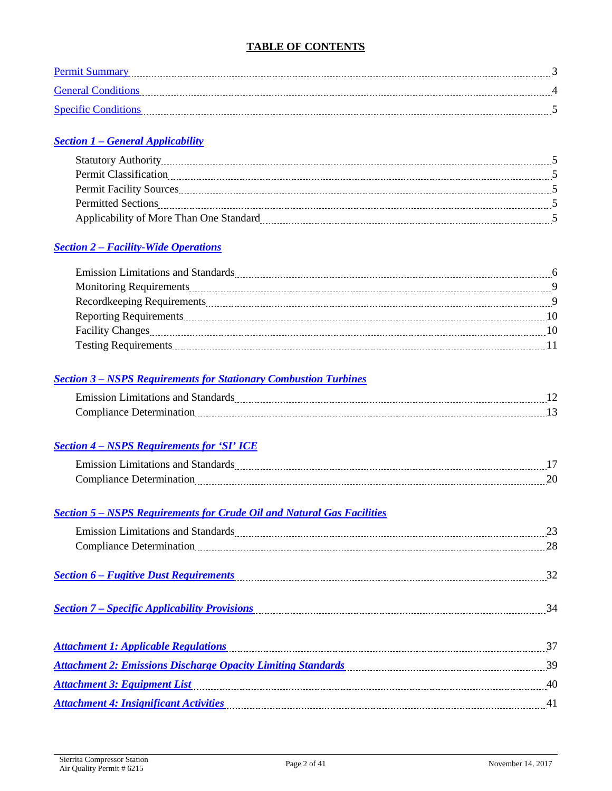## **TABLE OF CONTENTS**

| Permit Summary             |  |
|----------------------------|--|
| <b>General Conditions</b>  |  |
| <b>Specific Conditions</b> |  |

## *Section 1 – [General Applicability](#page-4-1)*

| <b>Statutory Authority</b>              |  |
|-----------------------------------------|--|
| <b>Permit Classification</b>            |  |
| <b>Permit Facility Sources</b>          |  |
| <b>Permitted Sections</b>               |  |
| Applicability of More Than One Standard |  |

### *Section 2 – [Facility-Wide Operations](#page-5-0)*

### *Section 3 – [NSPS Requirements for Stationary Combustion Turbines](#page-11-0)*

| Fulled on Limit<br><br>--------- |     |
|----------------------------------|-----|
| -------------------------------  | --- |

### *Section 4 – [NSPS Requirements for 'SI' ICE](#page-16-0)*

| a Line<br>----------- |  |
|-----------------------|--|
|                       |  |

### *Section 5 – [NSPS Requirements for Crude Oil and Natural Gas Facilities](#page-22-0)*

| Emission Limitations and Standards Manual Manual Manual Manual Manual Manual Manual Manual Manual Manual 23 |    |
|-------------------------------------------------------------------------------------------------------------|----|
| Compliance Determination 28                                                                                 |    |
|                                                                                                             |    |
| Section 6 - Fugitive Dust Requirements<br>Section 6 - Fugitive Dust Requirements                            | 32 |
|                                                                                                             |    |
|                                                                                                             |    |
|                                                                                                             |    |
| Attachment 1: Applicable Regulations 37                                                                     |    |
| <b>Attachment 2: Emissions Discharge Opacity Limiting Standards</b> Manual Communications 39                |    |
| <b>Attachment 3: Equipment List</b>                                                                         |    |
| <b>Attachment 4: Insignificant Activities</b>                                                               | 41 |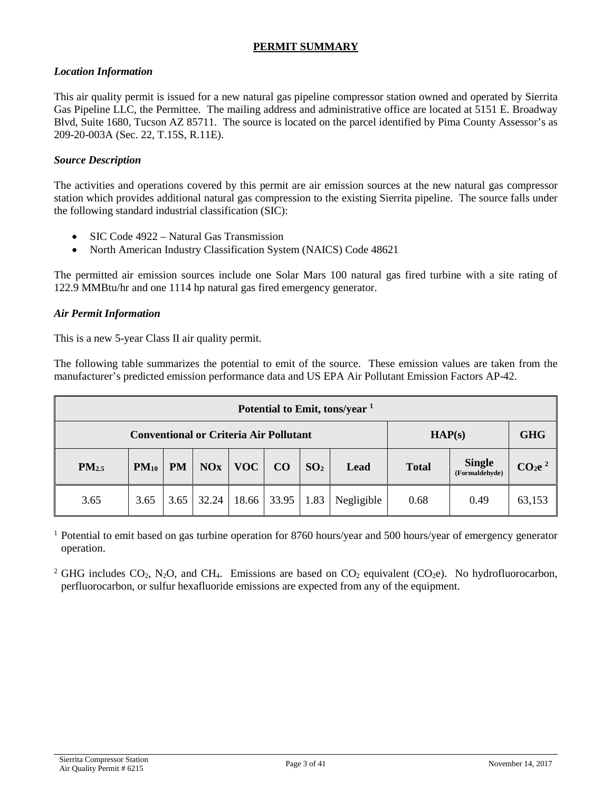### <span id="page-2-0"></span>**PERMIT SUMMARY**

### *Location Information*

This air quality permit is issued for a new natural gas pipeline compressor station owned and operated by Sierrita Gas Pipeline LLC, the Permittee. The mailing address and administrative office are located at 5151 E. Broadway Blvd, Suite 1680, Tucson AZ 85711. The source is located on the parcel identified by Pima County Assessor's as 209-20-003A (Sec. 22, T.15S, R.11E).

### *Source Description*

The activities and operations covered by this permit are air emission sources at the new natural gas compressor station which provides additional natural gas compression to the existing Sierrita pipeline. The source falls under the following standard industrial classification (SIC):

- SIC Code 4922 Natural Gas Transmission
- North American Industry Classification System (NAICS) Code 48621

The permitted air emission sources include one Solar Mars 100 natural gas fired turbine with a site rating of 122.9 MMBtu/hr and one 1114 hp natural gas fired emergency generator.

### *Air Permit Information*

This is a new 5-year Class II air quality permit.

The following table summarizes the potential to emit of the source. These emission values are taken from the manufacturer's predicted emission performance data and US EPA Air Pollutant Emission Factors AP-42.

| Potential to Emit, tons/year <sup>1</sup>     |           |           |            |            |       |                 |            |              |                                 |                                |
|-----------------------------------------------|-----------|-----------|------------|------------|-------|-----------------|------------|--------------|---------------------------------|--------------------------------|
| <b>Conventional or Criteria Air Pollutant</b> |           |           |            | HAP(s)     |       | <b>GHG</b>      |            |              |                                 |                                |
| PM <sub>2.5</sub>                             | $PM_{10}$ | <b>PM</b> | <b>NOx</b> | <b>VOC</b> | CO    | SO <sub>2</sub> | Lead       | <b>Total</b> | <b>Single</b><br>(Formaldehyde) | CO <sub>2</sub> e <sup>2</sup> |
| 3.65                                          | 3.65      | 3.65      | 32.24      | 18.66      | 33.95 | 1.83            | Negligible | 0.68         | 0.49                            | 63,153                         |

<sup>1</sup> Potential to emit based on gas turbine operation for 8760 hours/year and 500 hours/year of emergency generator operation.

<sup>2</sup> GHG includes CO<sub>2</sub>, N<sub>2</sub>O, and CH<sub>4</sub>. Emissions are based on CO<sub>2</sub> equivalent (CO<sub>2</sub>e). No hydrofluorocarbon, perfluorocarbon, or sulfur hexafluoride emissions are expected from any of the equipment.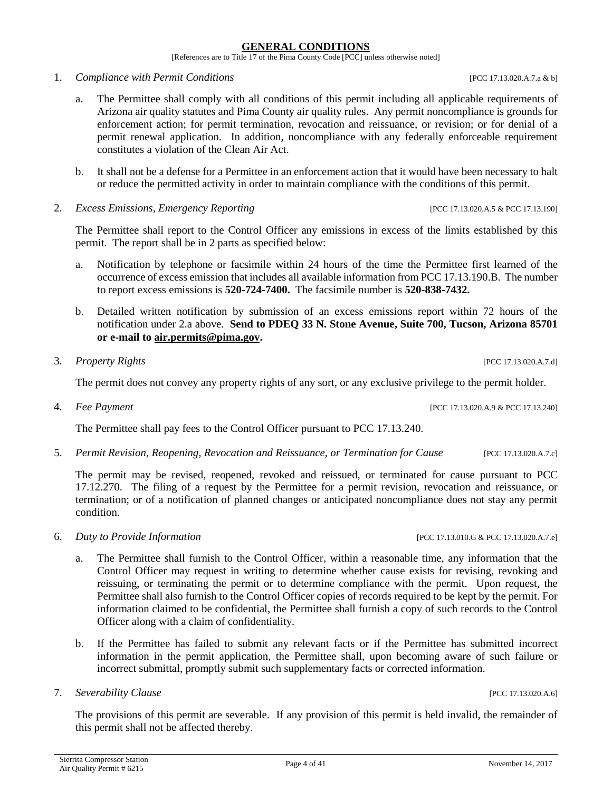### **GENERAL CONDITIONS**

[References are to Title 17 of the Pima County Code [PCC] unless otherwise noted]

- <span id="page-3-0"></span>1. *Compliance with Permit Conditions* [PCC 17.13.020.A.7.a & b]
	- a. The Permittee shall comply with all conditions of this permit including all applicable requirements of Arizona air quality statutes and Pima County air quality rules. Any permit noncompliance is grounds for enforcement action; for permit termination, revocation and reissuance, or revision; or for denial of a permit renewal application. In addition, noncompliance with any federally enforceable requirement constitutes a violation of the Clean Air Act.
	- b. It shall not be a defense for a Permittee in an enforcement action that it would have been necessary to halt or reduce the permitted activity in order to maintain compliance with the conditions of this permit.
- 2. *Excess Emissions, Emergency Reporting* [PCC 17.13.020.A.5 & PCC 17.13.190]

The Permittee shall report to the Control Officer any emissions in excess of the limits established by this permit. The report shall be in 2 parts as specified below:

- a. Notification by telephone or facsimile within 24 hours of the time the Permittee first learned of the occurrence of excess emission that includes all available information from PCC 17.13.190.B. The number to report excess emissions is **520-724-7400.** The facsimile number is **520-838-7432.**
- b. Detailed written notification by submission of an excess emissions report within 72 hours of the notification under 2.a above. **Send to PDEQ 33 N. Stone Avenue, Suite 700, Tucson, Arizona 85701 or e-mail to [air.permits@pima.gov.](mailto:air.permits@pima.gov)**
- 3. *Property Rights* [PCC 17.13.020.A.7.d]

The permit does not convey any property rights of any sort, or any exclusive privilege to the permit holder.

4. *Fee Payment* [PCC 17.13.020.A.9 & PCC 17.13.240]

The Permittee shall pay fees to the Control Officer pursuant to PCC 17.13.240.

5. *Permit Revision, Reopening, Revocation and Reissuance, or Termination for Cause* [PCC 17.13.020.A.7.c]

The permit may be revised, reopened, revoked and reissued, or terminated for cause pursuant to PCC 17.12.270. The filing of a request by the Permittee for a permit revision, revocation and reissuance, or termination; or of a notification of planned changes or anticipated noncompliance does not stay any permit condition.

- 6. *Duty to Provide Information* [PCC 17.13.010.G & PCC 17.13.020.A.7.e]
	- a. The Permittee shall furnish to the Control Officer, within a reasonable time, any information that the Control Officer may request in writing to determine whether cause exists for revising, revoking and reissuing, or terminating the permit or to determine compliance with the permit. Upon request, the Permittee shall also furnish to the Control Officer copies of records required to be kept by the permit. For information claimed to be confidential, the Permittee shall furnish a copy of such records to the Control Officer along with a claim of confidentiality.
	- b. If the Permittee has failed to submit any relevant facts or if the Permittee has submitted incorrect information in the permit application, the Permittee shall, upon becoming aware of such failure or incorrect submittal, promptly submit such supplementary facts or corrected information.
- 7. *Severability Clause* [PCC 17.13.020.A.6]

The provisions of this permit are severable. If any provision of this permit is held invalid, the remainder of this permit shall not be affected thereby.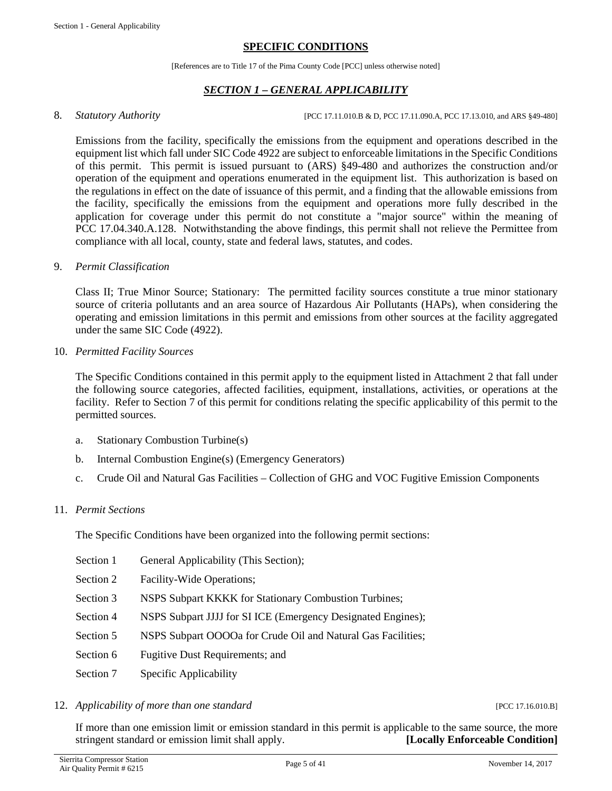### **SPECIFIC CONDITIONS**

[References are to Title 17 of the Pima County Code [PCC] unless otherwise noted]

## *SECTION 1 – GENERAL APPLICABILITY*

<span id="page-4-1"></span><span id="page-4-0"></span>8. *Statutory Authority CCLEC 17.11.010.B & D, PCC 17.11.090.A, PCC 17.13.010, and ARS §49-480]* 

Emissions from the facility, specifically the emissions from the equipment and operations described in the equipment list which fall under SIC Code 4922 are subject to enforceable limitations in the Specific Conditions of this permit. This permit is issued pursuant to (ARS) §49-480 and authorizes the construction and/or operation of the equipment and operations enumerated in the equipment list. This authorization is based on the regulations in effect on the date of issuance of this permit, and a finding that the allowable emissions from the facility, specifically the emissions from the equipment and operations more fully described in the application for coverage under this permit do not constitute a "major source" within the meaning of PCC 17.04.340.A.128. Notwithstanding the above findings, this permit shall not relieve the Permittee from compliance with all local, county, state and federal laws, statutes, and codes.

### 9. *Permit Classification*

Class II; True Minor Source; Stationary: The permitted facility sources constitute a true minor stationary source of criteria pollutants and an area source of Hazardous Air Pollutants (HAPs), when considering the operating and emission limitations in this permit and emissions from other sources at the facility aggregated under the same SIC Code (4922).

10. *Permitted Facility Sources*

The Specific Conditions contained in this permit apply to the equipment listed in Attachment 2 that fall under the following source categories, affected facilities, equipment, installations, activities, or operations at the facility. Refer to Section 7 of this permit for conditions relating the specific applicability of this permit to the permitted sources.

- a. Stationary Combustion Turbine(s)
- b. Internal Combustion Engine(s) (Emergency Generators)
- c. Crude Oil and Natural Gas Facilities Collection of GHG and VOC Fugitive Emission Components

### 11. *Permit Sections*

The Specific Conditions have been organized into the following permit sections:

- Section 1 General Applicability (This Section);
- Section 2 Facility-Wide Operations;
- Section 3 NSPS Subpart KKKK for Stationary Combustion Turbines;
- Section 4 NSPS Subpart JJJJ for SI ICE (Emergency Designated Engines);
- Section 5 NSPS Subpart OOOOa for Crude Oil and Natural Gas Facilities;
- Section 6 Fugitive Dust Requirements; and
- Section 7 Specific Applicability

### 12. *Applicability of more than one standard* [PCC 17.16.010.B]

If more than one emission limit or emission standard in this permit is applicable to the same source, the more stringent standard or emission limit shall apply. **[Locally Enforceable Condition]**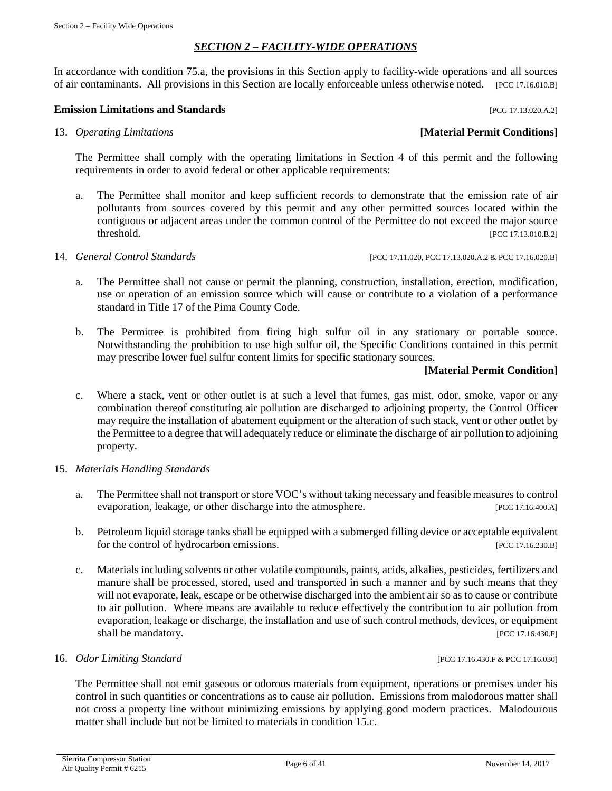## *SECTION 2 – FACILITY-WIDE OPERATIONS*

<span id="page-5-0"></span>In accordance with condition 75.a, the provisions in this Section apply to facility-wide operations and all sources of air contaminants. All provisions in this Section are locally enforceable unless otherwise noted. [PCC 17.16.010.B]

### **Emission Limitations and Standards Emission Limitations and Standards Exercísion**

### 13. *Operating Limitations* **[Material Permit Conditions]**

The Permittee shall comply with the operating limitations in Section 4 of this permit and the following requirements in order to avoid federal or other applicable requirements:

a. The Permittee shall monitor and keep sufficient records to demonstrate that the emission rate of air pollutants from sources covered by this permit and any other permitted sources located within the contiguous or adjacent areas under the common control of the Permittee do not exceed the major source threshold. [PCC 17.13.010.B.2]

- 14. *General Control Standards* [PCC 17.11.020, PCC 17.13.020.A.2 & PCC 17.16.020.B]
	- a. The Permittee shall not cause or permit the planning, construction, installation, erection, modification, use or operation of an emission source which will cause or contribute to a violation of a performance standard in Title 17 of the Pima County Code.
	- b. The Permittee is prohibited from firing high sulfur oil in any stationary or portable source. Notwithstanding the prohibition to use high sulfur oil, the Specific Conditions contained in this permit may prescribe lower fuel sulfur content limits for specific stationary sources.

### **[Material Permit Condition]**

- c. Where a stack, vent or other outlet is at such a level that fumes, gas mist, odor, smoke, vapor or any combination thereof constituting air pollution are discharged to adjoining property, the Control Officer may require the installation of abatement equipment or the alteration of such stack, vent or other outlet by the Permittee to a degree that will adequately reduce or eliminate the discharge of air pollution to adjoining property.
- 15. *Materials Handling Standards*
	- a. The Permittee shall not transport or store VOC's without taking necessary and feasible measures to control evaporation, leakage, or other discharge into the atmosphere. [PCC 17.16.400.A]
	- b. Petroleum liquid storage tanks shall be equipped with a submerged filling device or acceptable equivalent for the control of hydrocarbon emissions. [PCC 17.16.230.B]
	- c. Materials including solvents or other volatile compounds, paints, acids, alkalies, pesticides, fertilizers and manure shall be processed, stored, used and transported in such a manner and by such means that they will not evaporate, leak, escape or be otherwise discharged into the ambient air so as to cause or contribute to air pollution. Where means are available to reduce effectively the contribution to air pollution from evaporation, leakage or discharge, the installation and use of such control methods, devices, or equipment shall be mandatory. [PCC 17.16.430.F]

### 16. *Odor Limiting Standard* [PCC 17.16.430.F & PCC 17.16.030]

The Permittee shall not emit gaseous or odorous materials from equipment, operations or premises under his control in such quantities or concentrations as to cause air pollution. Emissions from malodorous matter shall not cross a property line without minimizing emissions by applying good modern practices. Malodourous matter shall include but not be limited to materials in condition 15.c.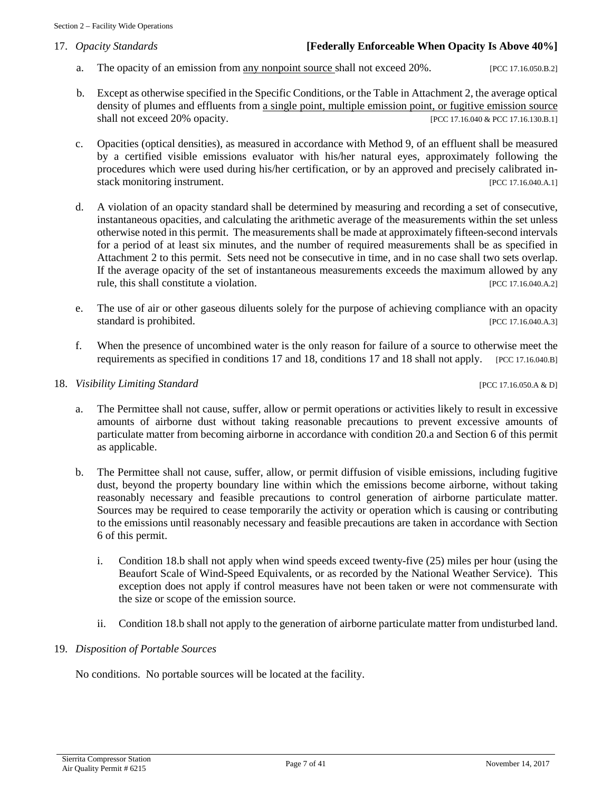### 17. *Opacity Standards* **[Federally Enforceable When Opacity Is Above 40%]**

- a. The opacity of an emission from any nonpoint source shall not exceed 20%. [PCC 17.16.050.B.2]
- b. Except as otherwise specified in the Specific Conditions, or the Table in Attachment 2, the average optical density of plumes and effluents from a single point, multiple emission point, or fugitive emission source shall not exceed 20% opacity. [PCC 17.16.040 & PCC 17.16.130.B.1]
- c. Opacities (optical densities), as measured in accordance with Method 9, of an effluent shall be measured by a certified visible emissions evaluator with his/her natural eyes, approximately following the procedures which were used during his/her certification, or by an approved and precisely calibrated instack monitoring instrument. [PCC 17.16.040.A.1]
- d. A violation of an opacity standard shall be determined by measuring and recording a set of consecutive, instantaneous opacities, and calculating the arithmetic average of the measurements within the set unless otherwise noted in this permit. The measurements shall be made at approximately fifteen-second intervals for a period of at least six minutes, and the number of required measurements shall be as specified in Attachment 2 to this permit. Sets need not be consecutive in time, and in no case shall two sets overlap. If the average opacity of the set of instantaneous measurements exceeds the maximum allowed by any rule, this shall constitute a violation. [PCC 17.16.040.A.2]
- e. The use of air or other gaseous diluents solely for the purpose of achieving compliance with an opacity standard is prohibited. [PCC 17.16.040.A.3]
- f. When the presence of uncombined water is the only reason for failure of a source to otherwise meet the requirements as specified in conditions 17 and 18, conditions 17 and 18 shall not apply. [PCC 17.16.040.B]

### 18. *Visibility Limiting Standard* [PCC 17.16.050.A & D]

- a. The Permittee shall not cause, suffer, allow or permit operations or activities likely to result in excessive amounts of airborne dust without taking reasonable precautions to prevent excessive amounts of particulate matter from becoming airborne in accordance with condition 20.a and Section 6 of this permit as applicable.
- b. The Permittee shall not cause, suffer, allow, or permit diffusion of visible emissions, including fugitive dust, beyond the property boundary line within which the emissions become airborne, without taking reasonably necessary and feasible precautions to control generation of airborne particulate matter. Sources may be required to cease temporarily the activity or operation which is causing or contributing to the emissions until reasonably necessary and feasible precautions are taken in accordance with Section 6 of this permit.
	- i. Condition 18.b shall not apply when wind speeds exceed twenty-five (25) miles per hour (using the Beaufort Scale of Wind-Speed Equivalents, or as recorded by the National Weather Service). This exception does not apply if control measures have not been taken or were not commensurate with the size or scope of the emission source.
	- ii. Condition 18.b shall not apply to the generation of airborne particulate matter from undisturbed land.

### 19. *Disposition of Portable Sources*

No conditions. No portable sources will be located at the facility.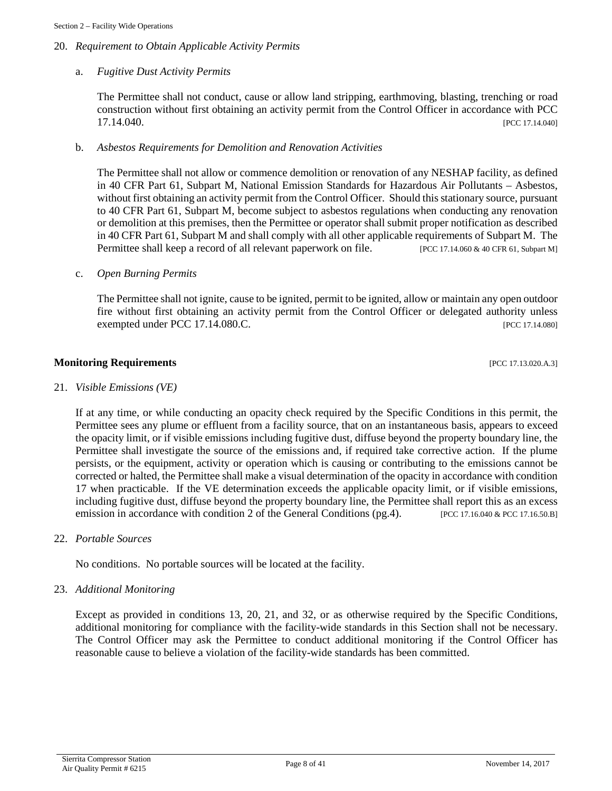### 20. *Requirement to Obtain Applicable Activity Permits*

### a. *Fugitive Dust Activity Permits*

The Permittee shall not conduct, cause or allow land stripping, earthmoving, blasting, trenching or road construction without first obtaining an activity permit from the Control Officer in accordance with PCC 17.14.040. [PCC 17.14.040]

### b. *Asbestos Requirements for Demolition and Renovation Activities*

The Permittee shall not allow or commence demolition or renovation of any NESHAP facility, as defined in 40 CFR Part 61, Subpart M, National Emission Standards for Hazardous Air Pollutants – Asbestos, without first obtaining an activity permit from the Control Officer. Should this stationary source, pursuant to 40 CFR Part 61, Subpart M, become subject to asbestos regulations when conducting any renovation or demolition at this premises, then the Permittee or operator shall submit proper notification as described in 40 CFR Part 61, Subpart M and shall comply with all other applicable requirements of Subpart M. The Permittee shall keep a record of all relevant paperwork on file. [PCC 17.14.060 & 40 CFR 61, Subpart M]

### c. *Open Burning Permits*

The Permittee shall not ignite, cause to be ignited, permit to be ignited, allow or maintain any open outdoor fire without first obtaining an activity permit from the Control Officer or delegated authority unless exempted under PCC 17.14.080.C. [PCC 17.14.080]

### **Monitoring Requirements and the contract of the contract of the contract of the contract of the contract of the contract of the contract of the contract of the contract of the contract of the contract of the contract of**

### 21. *Visible Emissions (VE)*

If at any time, or while conducting an opacity check required by the Specific Conditions in this permit, the Permittee sees any plume or effluent from a facility source, that on an instantaneous basis, appears to exceed the opacity limit, or if visible emissions including fugitive dust, diffuse beyond the property boundary line, the Permittee shall investigate the source of the emissions and, if required take corrective action. If the plume persists, or the equipment, activity or operation which is causing or contributing to the emissions cannot be corrected or halted, the Permittee shall make a visual determination of the opacity in accordance with condition 17 when practicable. If the VE determination exceeds the applicable opacity limit, or if visible emissions, including fugitive dust, diffuse beyond the property boundary line, the Permittee shall report this as an excess emission in accordance with condition 2 of the General Conditions (pg.4). [PCC 17.16.040 & PCC 17.16.50.B]

22. *Portable Sources*

No conditions. No portable sources will be located at the facility.

### 23. *Additional Monitoring*

Except as provided in conditions 13, 20, 21, and 32, or as otherwise required by the Specific Conditions, additional monitoring for compliance with the facility-wide standards in this Section shall not be necessary. The Control Officer may ask the Permittee to conduct additional monitoring if the Control Officer has reasonable cause to believe a violation of the facility-wide standards has been committed.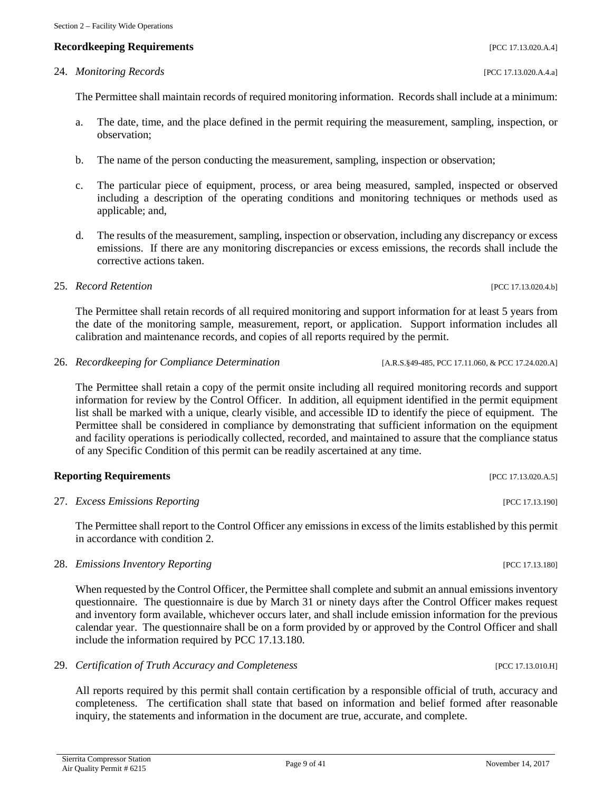Section 2 – Facility Wide Operations

The Permittee shall maintain records of required monitoring information. Records shall include at a minimum:

- a. The date, time, and the place defined in the permit requiring the measurement, sampling, inspection, or observation;
- b. The name of the person conducting the measurement, sampling, inspection or observation;
- c. The particular piece of equipment, process, or area being measured, sampled, inspected or observed including a description of the operating conditions and monitoring techniques or methods used as applicable; and,
- d. The results of the measurement, sampling, inspection or observation, including any discrepancy or excess emissions. If there are any monitoring discrepancies or excess emissions, the records shall include the corrective actions taken.

# 25. *Record Retention* [PCC 17.13.020.4.b]

The Permittee shall retain records of all required monitoring and support information for at least 5 years from the date of the monitoring sample, measurement, report, or application. Support information includes all calibration and maintenance records, and copies of all reports required by the permit.

26. *Recordkeeping for Compliance Determination* [A.R.S.§49-485, PCC 17.11.060, & PCC 17.24.020.A]

The Permittee shall retain a copy of the permit onsite including all required monitoring records and support information for review by the Control Officer. In addition, all equipment identified in the permit equipment list shall be marked with a unique, clearly visible, and accessible ID to identify the piece of equipment. The Permittee shall be considered in compliance by demonstrating that sufficient information on the equipment and facility operations is periodically collected, recorded, and maintained to assure that the compliance status of any Specific Condition of this permit can be readily ascertained at any time.

# **Reporting Requirements** [PCC 17.13.020.A.5]

27. *Excess Emissions Reporting PCC 17.13.190* 

The Permittee shall report to the Control Officer any emissions in excess of the limits established by this permit in accordance with condition 2.

28. *Emissions Inventory Reporting PCC 17.13.180* 

When requested by the Control Officer, the Permittee shall complete and submit an annual emissions inventory questionnaire. The questionnaire is due by March 31 or ninety days after the Control Officer makes request and inventory form available, whichever occurs later, and shall include emission information for the previous calendar year. The questionnaire shall be on a form provided by or approved by the Control Officer and shall include the information required by PCC 17.13.180.

29. *Certification of Truth Accuracy and Completeness* [PCC 17.13.010.H]

All reports required by this permit shall contain certification by a responsible official of truth, accuracy and completeness. The certification shall state that based on information and belief formed after reasonable inquiry, the statements and information in the document are true, accurate, and complete.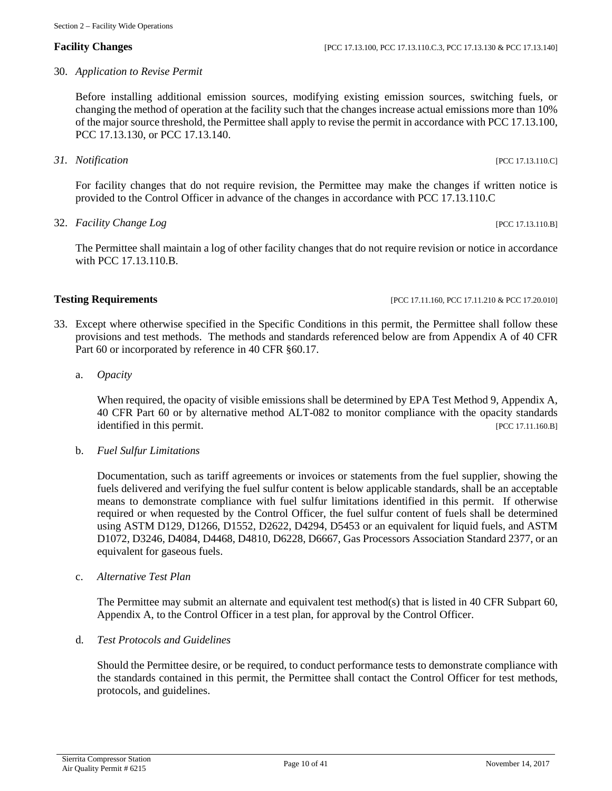Section 2 – Facility Wide Operations

30. *Application to Revise Permit*

Before installing additional emission sources, modifying existing emission sources, switching fuels, or changing the method of operation at the facility such that the changes increase actual emissions more than 10% of the major source threshold, the Permittee shall apply to revise the permit in accordance with PCC 17.13.100, PCC 17.13.130, or PCC 17.13.140.

*31. Notification* [PCC 17.13.110.C]

For facility changes that do not require revision, the Permittee may make the changes if written notice is provided to the Control Officer in advance of the changes in accordance with PCC 17.13.110.C

32. *Facility Change Log* [PCC 17.13.110.B]

The Permittee shall maintain a log of other facility changes that do not require revision or notice in accordance with PCC 17.13.110.B.

# **Testing Requirements [PCC 17.11.160, PCC 17.11.160, PCC 17.11.210 & PCC 17.20.010]**

- 33. Except where otherwise specified in the Specific Conditions in this permit, the Permittee shall follow these provisions and test methods. The methods and standards referenced below are from Appendix A of 40 CFR Part 60 or incorporated by reference in 40 CFR  $\S 60.17$ .
	- a. *Opacity*

When required, the opacity of visible emissions shall be determined by EPA Test Method 9, Appendix A, 40 CFR Part 60 or by alternative method ALT-082 to monitor compliance with the opacity standards identified in this permit. [PCC 17.11.160.B]

b. *Fuel Sulfur Limitations*

Documentation, such as tariff agreements or invoices or statements from the fuel supplier, showing the fuels delivered and verifying the fuel sulfur content is below applicable standards, shall be an acceptable means to demonstrate compliance with fuel sulfur limitations identified in this permit. If otherwise required or when requested by the Control Officer, the fuel sulfur content of fuels shall be determined using ASTM D129, D1266, D1552, D2622, D4294, D5453 or an equivalent for liquid fuels, and ASTM D1072, D3246, D4084, D4468, D4810, D6228, D6667, Gas Processors Association Standard 2377, or an equivalent for gaseous fuels.

c. *Alternative Test Plan*

The Permittee may submit an alternate and equivalent test method(s) that is listed in 40 CFR Subpart 60, Appendix A, to the Control Officer in a test plan, for approval by the Control Officer.

d. *Test Protocols and Guidelines*

Should the Permittee desire, or be required, to conduct performance tests to demonstrate compliance with the standards contained in this permit, the Permittee shall contact the Control Officer for test methods, protocols, and guidelines.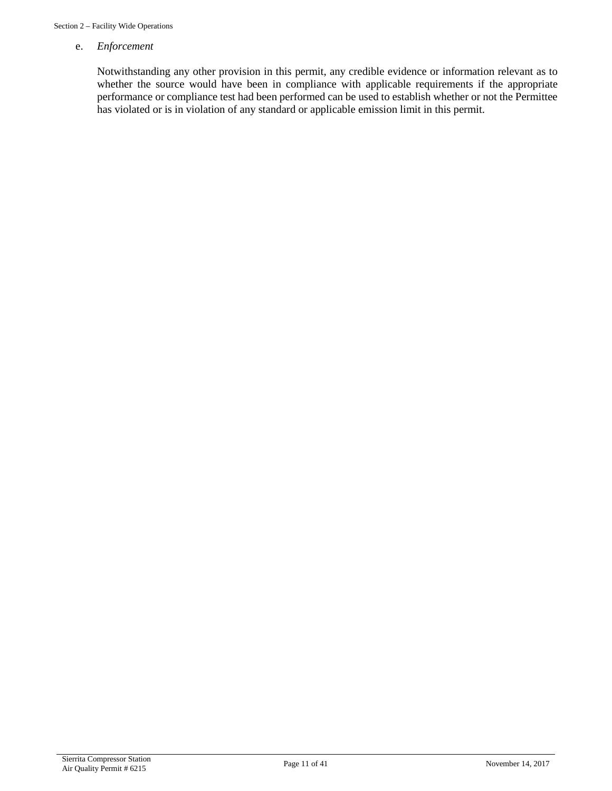### e. *Enforcement*

Notwithstanding any other provision in this permit, any credible evidence or information relevant as to whether the source would have been in compliance with applicable requirements if the appropriate performance or compliance test had been performed can be used to establish whether or not the Permittee has violated or is in violation of any standard or applicable emission limit in this permit.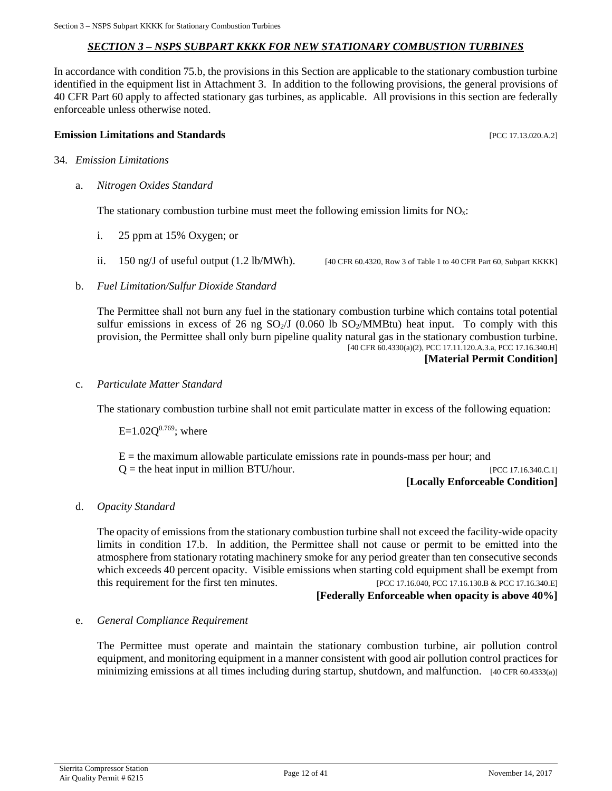### *SECTION 3 – NSPS SUBPART KKKK FOR NEW STATIONARY COMBUSTION TURBINES*

<span id="page-11-0"></span>In accordance with condition 75.b, the provisions in this Section are applicable to the stationary combustion turbine identified in the equipment list in Attachment 3. In addition to the following provisions, the general provisions of 40 CFR Part 60 apply to affected stationary gas turbines, as applicable. All provisions in this section are federally enforceable unless otherwise noted.

### **Emission Limitations and Standards Emission Limitations and Standards Executive Limitations and Standards Executive Limitations and Standards Executive Limitations and Standards**

- 34. *Emission Limitations*
	- a. *Nitrogen Oxides Standard*

The stationary combustion turbine must meet the following emission limits for  $NO<sub>x</sub>$ :

- i. 25 ppm at 15% Oxygen; or
- 

ii.  $150 \text{ ng/J}$  of useful output  $(1.2 \text{ lb}/\text{MWh})$ . [40 CFR 60.4320, Row 3 of Table 1 to 40 CFR Part 60, Subpart KKKK]

b. *Fuel Limitation/Sulfur Dioxide Standard*

The Permittee shall not burn any fuel in the stationary combustion turbine which contains total potential sulfur emissions in excess of 26 ng  $SO_2/J$  (0.060 lb  $SO_2/MMB$ tu) heat input. To comply with this provision, the Permittee shall only burn pipeline quality natural gas in the stationary combustion turbine. [40 CFR 60.4330(a)(2), PCC 17.11.120.A.3.a, PCC 17.16.340.H]

### **[Material Permit Condition]**

c. *Particulate Matter Standard*

The stationary combustion turbine shall not emit particulate matter in excess of the following equation:

 $E=1.02Q^{0.769}$ ; where

 $E =$  the maximum allowable particulate emissions rate in pounds-mass per hour; and  $Q =$  the heat input in million BTU/hour. [PCC 17.16.340.C.1]

### **[Locally Enforceable Condition]**

### d. *Opacity Standard*

The opacity of emissions from the stationary combustion turbine shall not exceed the facility-wide opacity limits in condition 17.b. In addition, the Permittee shall not cause or permit to be emitted into the atmosphere from stationary rotating machinery smoke for any period greater than ten consecutive seconds which exceeds 40 percent opacity. Visible emissions when starting cold equipment shall be exempt from this requirement for the first ten minutes. [PCC 17.16.040, PCC 17.16.130.B & PCC 17.16.340.E]

**[Federally Enforceable when opacity is above 40%]**

### e. *General Compliance Requirement*

The Permittee must operate and maintain the stationary combustion turbine, air pollution control equipment, and monitoring equipment in a manner consistent with good air pollution control practices for minimizing emissions at all times including during startup, shutdown, and malfunction. [40 CFR 60.4333(a)]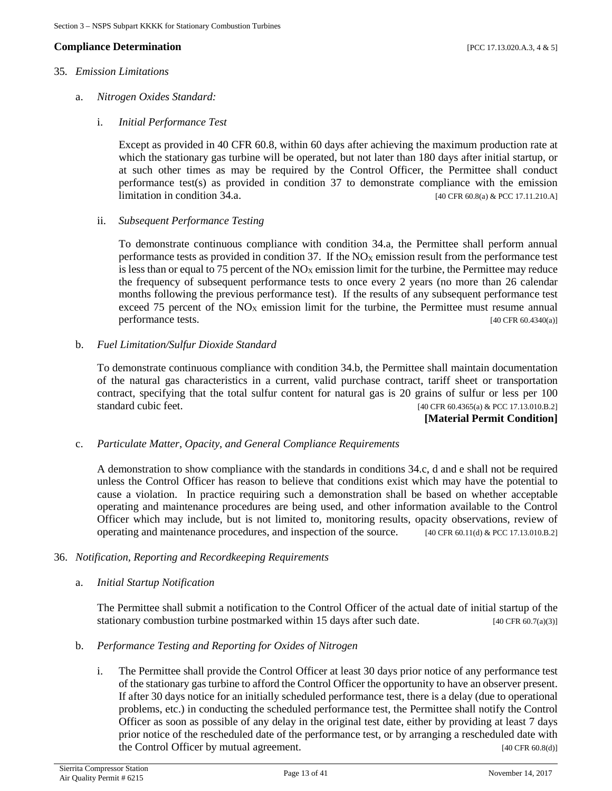### **Compliance Determination** [PCC 17.13.020.A.3, 4 & 5]

### 35*. Emission Limitations*

- a. *Nitrogen Oxides Standard:*
	- i. *Initial Performance Test*

Except as provided in 40 CFR 60.8, within 60 days after achieving the maximum production rate at which the stationary gas turbine will be operated, but not later than 180 days after initial startup, or at such other times as may be required by the Control Officer, the Permittee shall conduct performance test(s) as provided in condition 37 to demonstrate compliance with the emission limitation in condition 34.a.  $[40 \text{ CFR } 60.8(a) \& \text{PCC } 17.11.210.A]$ 

### ii. *Subsequent Performance Testing*

To demonstrate continuous compliance with condition 34.a, the Permittee shall perform annual performance tests as provided in condition 37. If the  $NO<sub>X</sub>$  emission result from the performance test is less than or equal to 75 percent of the  $NO<sub>X</sub>$  emission limit for the turbine, the Permittee may reduce the frequency of subsequent performance tests to once every 2 years (no more than 26 calendar months following the previous performance test). If the results of any subsequent performance test exceed 75 percent of the  $NO<sub>X</sub>$  emission limit for the turbine, the Permittee must resume annual performance tests. [40 CFR 60.4340(a)]

### b. *Fuel Limitation/Sulfur Dioxide Standard*

To demonstrate continuous compliance with condition 34.b, the Permittee shall maintain documentation of the natural gas characteristics in a current, valid purchase contract, tariff sheet or transportation contract, specifying that the total sulfur content for natural gas is 20 grains of sulfur or less per 100 standard cubic feet. [40 CFR 60.4365(a) & PCC 17.13.010.B.2]

### **[Material Permit Condition]**

### c. *Particulate Matter, Opacity, and General Compliance Requirements*

A demonstration to show compliance with the standards in conditions 34.c, d and e shall not be required unless the Control Officer has reason to believe that conditions exist which may have the potential to cause a violation. In practice requiring such a demonstration shall be based on whether acceptable operating and maintenance procedures are being used, and other information available to the Control Officer which may include, but is not limited to, monitoring results, opacity observations, review of operating and maintenance procedures, and inspection of the source. [40 CFR 60.11(d) & PCC 17.13.010.B.2]

### 36. *Notification, Reporting and Recordkeeping Requirements*

a. *Initial Startup Notification*

The Permittee shall submit a notification to the Control Officer of the actual date of initial startup of the stationary combustion turbine postmarked within 15 days after such date.  $[40 \text{ CFR } 60.7(a)(3)]$ 

- b. *Performance Testing and Reporting for Oxides of Nitrogen*
	- i. The Permittee shall provide the Control Officer at least 30 days prior notice of any performance test of the stationary gas turbine to afford the Control Officer the opportunity to have an observer present. If after 30 days notice for an initially scheduled performance test, there is a delay (due to operational problems, etc.) in conducting the scheduled performance test, the Permittee shall notify the Control Officer as soon as possible of any delay in the original test date, either by providing at least 7 days prior notice of the rescheduled date of the performance test, or by arranging a rescheduled date with the Control Officer by mutual agreement. [40 CFR 60.8(d)]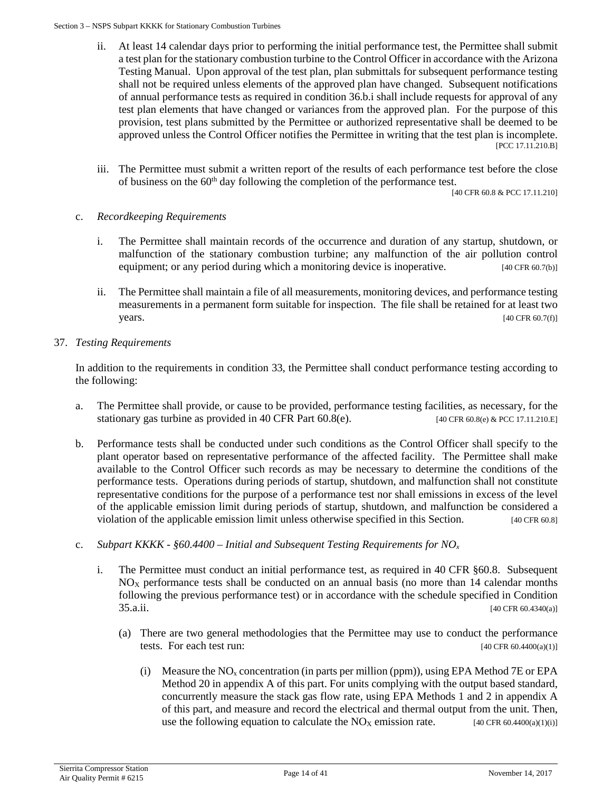### Section 3 – NSPS Subpart KKKK for Stationary Combustion Turbines

- ii. At least 14 calendar days prior to performing the initial performance test, the Permittee shall submit a test plan for the stationary combustion turbine to the Control Officer in accordance with the Arizona Testing Manual. Upon approval of the test plan, plan submittals for subsequent performance testing shall not be required unless elements of the approved plan have changed. Subsequent notifications of annual performance tests as required in condition 36.b.i shall include requests for approval of any test plan elements that have changed or variances from the approved plan. For the purpose of this provision, test plans submitted by the Permittee or authorized representative shall be deemed to be approved unless the Control Officer notifies the Permittee in writing that the test plan is incomplete. [PCC 17.11.210.B]
- iii. The Permittee must submit a written report of the results of each performance test before the close of business on the  $60<sup>th</sup>$  day following the completion of the performance test.

[40 CFR 60.8 & PCC 17.11.210]

### c. *Recordkeeping Requirements*

- i. The Permittee shall maintain records of the occurrence and duration of any startup, shutdown, or malfunction of the stationary combustion turbine; any malfunction of the air pollution control equipment; or any period during which a monitoring device is inoperative. [40 CFR 60.7(b)]
- ii. The Permittee shall maintain a file of all measurements, monitoring devices, and performance testing measurements in a permanent form suitable for inspection. The file shall be retained for at least two  $\text{years.}$  [40 CFR 60.7(f)]

### 37. *Testing Requirements*

In addition to the requirements in condition 33, the Permittee shall conduct performance testing according to the following:

- a. The Permittee shall provide, or cause to be provided, performance testing facilities, as necessary, for the stationary gas turbine as provided in 40 CFR Part  $60.8(e)$ . [40 CFR  $60.8(e)$  & PCC 17.11.210.E]
- b. Performance tests shall be conducted under such conditions as the Control Officer shall specify to the plant operator based on representative performance of the affected facility. The Permittee shall make available to the Control Officer such records as may be necessary to determine the conditions of the performance tests. Operations during periods of startup, shutdown, and malfunction shall not constitute representative conditions for the purpose of a performance test nor shall emissions in excess of the level of the applicable emission limit during periods of startup, shutdown, and malfunction be considered a violation of the applicable emission limit unless otherwise specified in this Section. [40 CFR 60.8]
- c. *Subpart KKKK - §60.4400 – Initial and Subsequent Testing Requirements for NOx*
	- i. The Permittee must conduct an initial performance test, as required in 40 CFR §60.8. Subsequent  $NO<sub>X</sub>$  performance tests shall be conducted on an annual basis (no more than 14 calendar months following the previous performance test) or in accordance with the schedule specified in Condition 35.a.ii. [40 CFR 60.4340(a)]
		- (a) There are two general methodologies that the Permittee may use to conduct the performance tests. For each test run:  $[40 \text{ CFR } 60.4400(a)(1)]$ 
			- (i) Measure the  $NO<sub>x</sub>$  concentration (in parts per million (ppm)), using EPA Method 7E or EPA Method 20 in appendix A of this part. For units complying with the output based standard, concurrently measure the stack gas flow rate, using EPA Methods 1 and 2 in appendix A of this part, and measure and record the electrical and thermal output from the unit. Then, use the following equation to calculate the  $NO<sub>X</sub>$  emission rate. [40 CFR 60.4400(a)(1)(i)]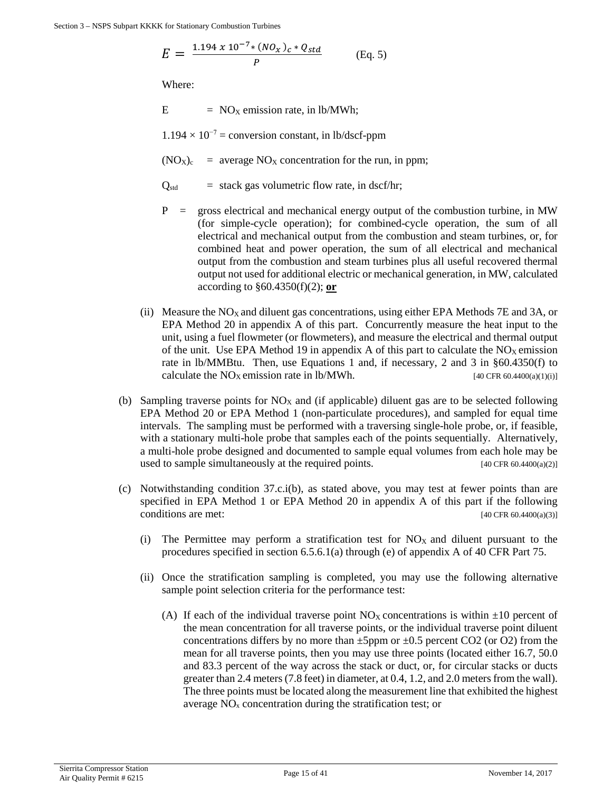$$
E = \frac{1.194 \times 10^{-7} \cdot (N O_X)_c \cdot Q_{std}}{P}
$$
 (Eq. 5)

Where:

 $E = NO<sub>X</sub>$  emission rate, in lb/MWh;

 $1.194 \times 10^{-7}$  = conversion constant, in lb/dscf-ppm

 $(NO_X)_c$  = average  $NO_X$  concentration for the run, in ppm;

 $Q_{std}$  = stack gas volumetric flow rate, in dscf/hr;

- $P =$  gross electrical and mechanical energy output of the combustion turbine, in MW (for simple-cycle operation); for combined-cycle operation, the sum of all electrical and mechanical output from the combustion and steam turbines, or, for combined heat and power operation, the sum of all electrical and mechanical output from the combustion and steam turbines plus all useful recovered thermal output not used for additional electric or mechanical generation, in MW, calculated according to §60.4350(f)(2); **or**
- (ii) Measure the  $NO<sub>X</sub>$  and diluent gas concentrations, using either EPA Methods 7E and 3A, or EPA Method 20 in appendix A of this part. Concurrently measure the heat input to the unit, using a fuel flowmeter (or flowmeters), and measure the electrical and thermal output of the unit. Use EPA Method 19 in appendix A of this part to calculate the  $NO<sub>X</sub>$  emission rate in lb/MMBtu. Then, use Equations 1 and, if necessary, 2 and 3 in §60.4350(f) to calculate the  $NO<sub>X</sub>$  emission rate in lb/MWh. [40 CFR 60.4400(a)(1)(i)]
- (b) Sampling traverse points for  $NO<sub>X</sub>$  and (if applicable) diluent gas are to be selected following EPA Method 20 or EPA Method 1 (non-particulate procedures), and sampled for equal time intervals. The sampling must be performed with a traversing single-hole probe, or, if feasible, with a stationary multi-hole probe that samples each of the points sequentially. Alternatively, a multi-hole probe designed and documented to sample equal volumes from each hole may be used to sample simultaneously at the required points.  $[40 \text{ CFR } 60.4400(a/2)]$
- (c) Notwithstanding condition 37.c.i(b), as stated above, you may test at fewer points than are specified in EPA Method 1 or EPA Method 20 in appendix A of this part if the following conditions are met:  $[40 \text{ CFR } 60.4400(a)(3)]$ 
	- (i) The Permittee may perform a stratification test for  $NO<sub>X</sub>$  and diluent pursuant to the procedures specified in section 6.5.6.1(a) through (e) of appendix A of 40 CFR Part 75.
	- (ii) Once the stratification sampling is completed, you may use the following alternative sample point selection criteria for the performance test:
		- (A) If each of the individual traverse point  $NO<sub>X</sub>$  concentrations is within  $\pm 10$  percent of the mean concentration for all traverse points, or the individual traverse point diluent concentrations differs by no more than  $\pm 5$ ppm or  $\pm 0.5$  percent CO2 (or O2) from the mean for all traverse points, then you may use three points (located either 16.7, 50.0 and 83.3 percent of the way across the stack or duct, or, for circular stacks or ducts greater than 2.4 meters (7.8 feet) in diameter, at 0.4, 1.2, and 2.0 meters from the wall). The three points must be located along the measurement line that exhibited the highest average  $NO<sub>x</sub>$  concentration during the stratification test; or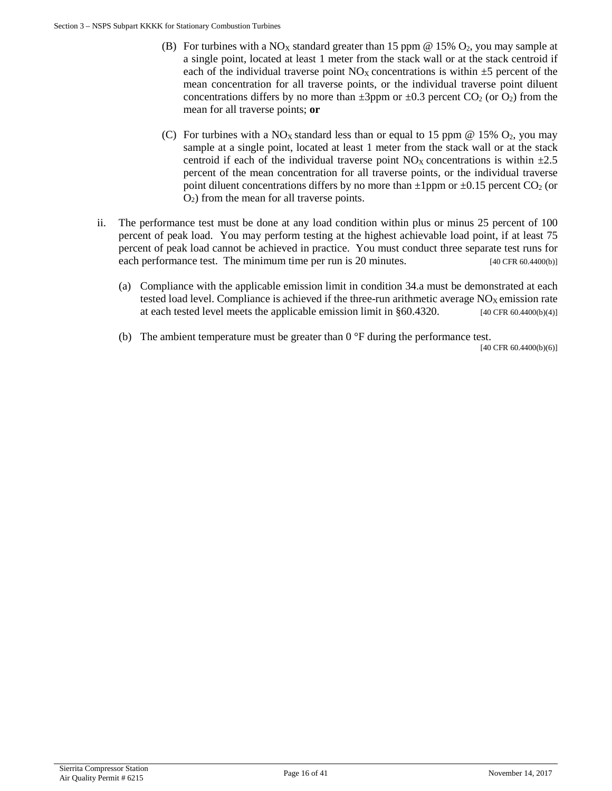- (B) For turbines with a NO<sub>X</sub> standard greater than 15 ppm @ 15% O<sub>2</sub>, you may sample at a single point, located at least 1 meter from the stack wall or at the stack centroid if each of the individual traverse point  $NO<sub>X</sub>$  concentrations is within  $\pm 5$  percent of the mean concentration for all traverse points, or the individual traverse point diluent concentrations differs by no more than  $\pm 3$ ppm or  $\pm 0.3$  percent CO<sub>2</sub> (or O<sub>2</sub>) from the mean for all traverse points; **or**
- (C) For turbines with a NO<sub>X</sub> standard less than or equal to 15 ppm  $\omega$  15% O<sub>2</sub>, you may sample at a single point, located at least 1 meter from the stack wall or at the stack centroid if each of the individual traverse point  $NO<sub>X</sub>$  concentrations is within  $\pm 2.5$ percent of the mean concentration for all traverse points, or the individual traverse point diluent concentrations differs by no more than  $\pm 1$ ppm or  $\pm 0.15$  percent CO<sub>2</sub> (or O2) from the mean for all traverse points.
- ii. The performance test must be done at any load condition within plus or minus 25 percent of 100 percent of peak load. You may perform testing at the highest achievable load point, if at least 75 percent of peak load cannot be achieved in practice. You must conduct three separate test runs for each performance test. The minimum time per run is 20 minutes. [40 CFR 60.4400(b)]
	- (a) Compliance with the applicable emission limit in condition 34.a must be demonstrated at each tested load level. Compliance is achieved if the three-run arithmetic average  $NO<sub>X</sub>$  emission rate at each tested level meets the applicable emission limit in  $\S 60.4320$ . [40 CFR 60.4400(b)(4)]
	- (b) The ambient temperature must be greater than  $0^{\circ}F$  during the performance test.

[40 CFR 60.4400(b)(6)]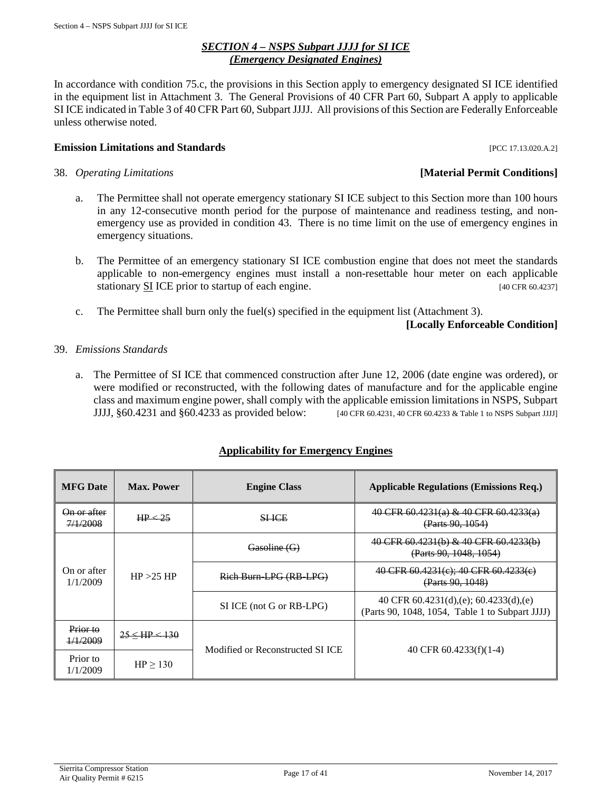### *SECTION 4 – NSPS Subpart JJJJ for SI ICE (Emergency Designated Engines)*

<span id="page-16-0"></span>In accordance with condition 75.c, the provisions in this Section apply to emergency designated SI ICE identified in the equipment list in Attachment 3. The General Provisions of 40 CFR Part 60, Subpart A apply to applicable SI ICE indicated in Table 3 of 40 CFR Part 60, Subpart JJJJ. All provisions of this Section are Federally Enforceable unless otherwise noted.

# **Emission Limitations and Standards Emission Limitations and Standards Exercísion**

- 38. *Operating Limitations* **[Material Permit Conditions]**
	- a. The Permittee shall not operate emergency stationary SI ICE subject to this Section more than 100 hours in any 12-consecutive month period for the purpose of maintenance and readiness testing, and nonemergency use as provided in condition 43. There is no time limit on the use of emergency engines in emergency situations.
	- b. The Permittee of an emergency stationary SI ICE combustion engine that does not meet the standards applicable to non-emergency engines must install a non-resettable hour meter on each applicable stationary SI ICE prior to startup of each engine. [40 CFR 60.4237]
	- c. The Permittee shall burn only the fuel(s) specified in the equipment list (Attachment 3).

# **[Locally Enforceable Condition]**

# 39. *Emissions Standards*

a. The Permittee of SI ICE that commenced construction after June 12, 2006 (date engine was ordered), or were modified or reconstructed, with the following dates of manufacture and for the applicable engine class and maximum engine power, shall comply with the applicable emission limitations in NSPS, Subpart JJJJ, §60.4231 and §60.4233 as provided below: [40 CFR 60.4231, 40 CFR 60.4233 & Table 1 to NSPS Subpart JJJJ]

# **Applicability for Emergency Engines**

| <b>MFG</b> Date                    | <b>Max. Power</b> | <b>Engine Class</b>              | <b>Applicable Regulations (Emissions Req.)</b>                                                   |
|------------------------------------|-------------------|----------------------------------|--------------------------------------------------------------------------------------------------|
| <del>On or after</del><br>7/1/2008 | HP <sub>25</sub>  | <b>SHICE</b>                     | 40 CFR 60.4231(a) & 40 CFR 60.4233(a)<br>(Parts 90, 1054)                                        |
| On or after<br>1/1/2009            |                   | Gasoline (G)                     | 40 CFR 60.4231(b) & 40 CFR 60.4233(b)<br>(Parts 90, 1048, 1054)                                  |
|                                    | HP > 25 HP        | Rich Burn LPG (RB LPG)           | 40 CFR 60.4231(e); 40 CFR 60.4233(e)<br>(Parts 90, 1048)                                         |
|                                    |                   | SI ICE (not G or RB-LPG)         | 40 CFR $60.4231(d)$ , (e); $60.4233(d)$ , (e)<br>(Parts 90, 1048, 1054, Table 1 to Subpart JJJJ) |
| Prior to<br>1/1/2009               | $25 <$ HP $<$ 130 | Modified or Reconstructed SI ICE | 40 CFR $60.4233(f)(1-4)$                                                                         |
| Prior to<br>1/1/2009               | $HP \ge 130$      |                                  |                                                                                                  |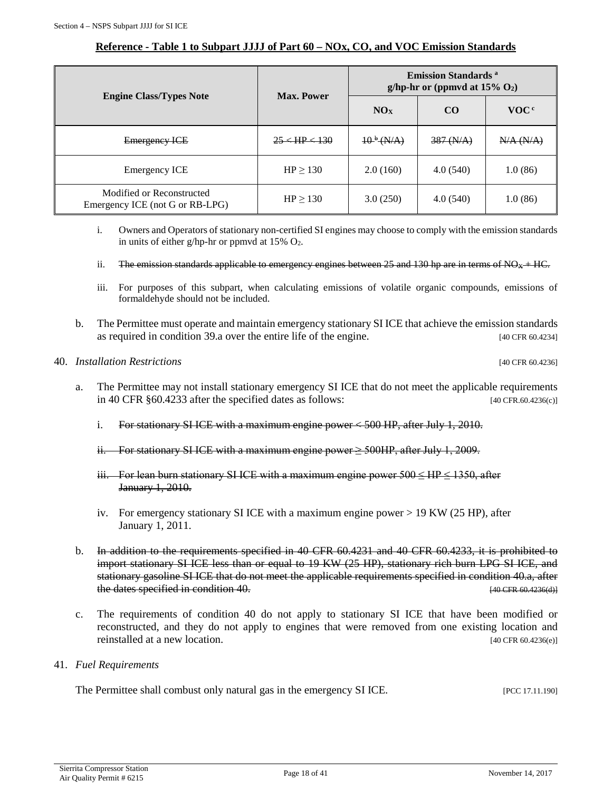### **Reference - Table 1 to Subpart JJJJ of Part 60 – NOx, CO, and VOC Emission Standards**

|                                                              | <b>Max. Power</b>  | <b>Emission Standards</b> a<br>g/hp-hr or (ppmvd at $15\%$ O <sub>2</sub> ) |                |                  |  |
|--------------------------------------------------------------|--------------------|-----------------------------------------------------------------------------|----------------|------------------|--|
| <b>Engine Class/Types Note</b>                               |                    | NO <sub>X</sub>                                                             | $\bf CO$       | VOC <sup>c</sup> |  |
| <b>Emergency ICE</b>                                         | $25 < H$ P $< 130$ | $10^{b} (N/A)$                                                              | $387 \, (N/A)$ | N/A (N/A)        |  |
| <b>Emergency ICE</b>                                         | $HP \ge 130$       | 2.0(160)                                                                    | 4.0(540)       | 1.0(86)          |  |
| Modified or Reconstructed<br>Emergency ICE (not G or RB-LPG) | $HP \ge 130$       | 3.0(250)                                                                    | 4.0(540)       | 1.0(86)          |  |

- i. Owners and Operators of stationary non-certified SI engines may choose to comply with the emission standards in units of either g/hp-hr or ppmvd at  $15\%$  O<sub>2</sub>.
- ii. The emission standards applicable to emergency engines between 25 and 130 hp are in terms of  $NQ_X + HC$ .
- iii. For purposes of this subpart, when calculating emissions of volatile organic compounds, emissions of formaldehyde should not be included.
- b. The Permittee must operate and maintain emergency stationary SI ICE that achieve the emission standards as required in condition 39.a over the entire life of the engine. [40 CFR 60.4234]

### 40. *Installation Restrictions* [40 CFR 60.4236]

- a. The Permittee may not install stationary emergency SI ICE that do not meet the applicable requirements in 40 CFR §60.4233 after the specified dates as follows: [40 CFR.60.4236(c)]
	- i. For stationary SI ICE with a maximum engine power  $\lt$  500 HP, after July 1, 2010.
	- ii. For stationary SI ICE with a maximum engine power  $\geq$  500HP, after July 1, 2009.
	- iii. For lean burn stationary SI ICE with a maximum engine power  $500 \leq HP \leq 1350$ , after January 1, 2010.
	- iv. For emergency stationary SI ICE with a maximum engine power > 19 KW (25 HP), after January 1, 2011.
- b. In addition to the requirements specified in 40 CFR 60.4231 and 40 CFR 60.4233, it is prohibited to import stationary SI ICE less than or equal to 19 KW (25 HP), stationary rich burn LPG SI ICE, and stationary gasoline SI ICE that do not meet the applicable requirements specified in condition 40.a, after the dates specified in condition 40. **Example 20** CHC condition  $(40 \text{ CFR } 60.4236(4))$
- c. The requirements of condition 40 do not apply to stationary SI ICE that have been modified or reconstructed, and they do not apply to engines that were removed from one existing location and reinstalled at a new location. [40 CFR 60.4236(e)]
- 41. *Fuel Requirements*

The Permittee shall combust only natural gas in the emergency SI ICE. [PCC 17.11.190]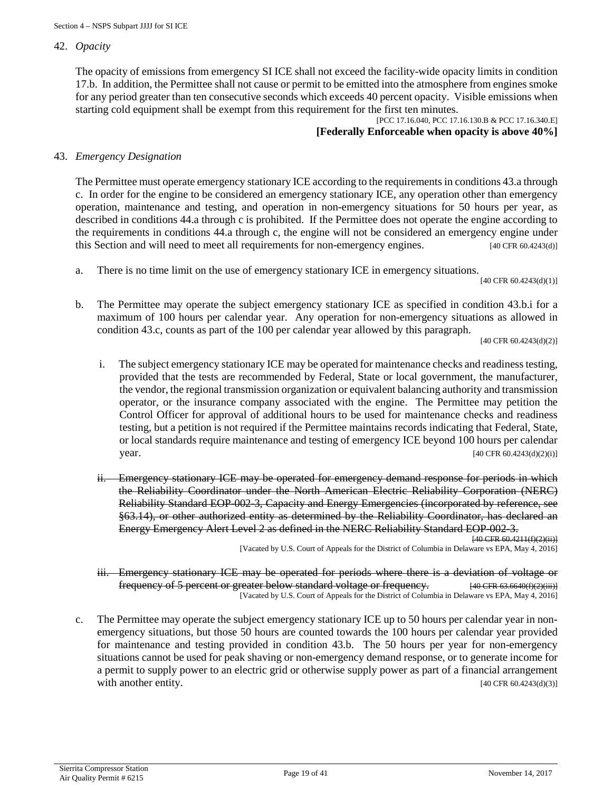### 42. *Opacity*

The opacity of emissions from emergency SI ICE shall not exceed the facility-wide opacity limits in condition 17.b. In addition, the Permittee shall not cause or permit to be emitted into the atmosphere from engines smoke for any period greater than ten consecutive seconds which exceeds 40 percent opacity. Visible emissions when starting cold equipment shall be exempt from this requirement for the first ten minutes.

### [PCC 17.16.040, PCC 17.16.130.B & PCC 17.16.340.E] **[Federally Enforceable when opacity is above 40%]**

### 43. *Emergency Designation*

The Permittee must operate emergency stationary ICE according to the requirements in conditions 43.a through c. In order for the engine to be considered an emergency stationary ICE, any operation other than emergency operation, maintenance and testing, and operation in non-emergency situations for 50 hours per year, as described in conditions 44.a through c is prohibited. If the Permittee does not operate the engine according to the requirements in conditions 44.a through c, the engine will not be considered an emergency engine under this Section and will need to meet all requirements for non-emergency engines. [40 CFR 60.4243(d)]

a. There is no time limit on the use of emergency stationary ICE in emergency situations.

[40 CFR 60.4243(d)(1)]

b. The Permittee may operate the subject emergency stationary ICE as specified in condition 43.b.i for a maximum of 100 hours per calendar year. Any operation for non-emergency situations as allowed in condition 43.c, counts as part of the 100 per calendar year allowed by this paragraph.

[40 CFR 60.4243(d)(2)]

- i. The subject emergency stationary ICE may be operated for maintenance checks and readiness testing, provided that the tests are recommended by Federal, State or local government, the manufacturer, the vendor, the regional transmission organization or equivalent balancing authority and transmission operator, or the insurance company associated with the engine. The Permittee may petition the Control Officer for approval of additional hours to be used for maintenance checks and readiness testing, but a petition is not required if the Permittee maintains records indicating that Federal, State, or local standards require maintenance and testing of emergency ICE beyond 100 hours per calendar **year.** [40 CFR 60.4243(d)(2)(i)]
- ii. Emergency stationary ICE may be operated for emergency demand response for periods in which the Reliability Coordinator under the North American Electric Reliability Corporation (NERC) Reliability Standard EOP-002-3, Capacity and Energy Emergencies (incorporated by reference, see §63.14), or other authorized entity as determined by the Reliability Coordinator, has declared an Energy Emergency Alert Level 2 as defined in the NERC Reliability Standard EOP-002-3.

[40 CFR 60.4211(f)(2)(ii)] [Vacated by U.S. Court of Appeals for the District of Columbia in Delaware vs EPA, May 4, 2016]

- iii. Emergency stationary ICE may be operated for periods where there is a deviation of voltage or frequency of 5 percent or greater below standard voltage or frequency. [40 CFR 63.6640(f)(2)(iii)] [Vacated by U.S. Court of Appeals for the District of Columbia in Delaware vs EPA, May 4, 2016]
- c. The Permittee may operate the subject emergency stationary ICE up to 50 hours per calendar year in nonemergency situations, but those 50 hours are counted towards the 100 hours per calendar year provided for maintenance and testing provided in condition 43.b. The 50 hours per year for non-emergency situations cannot be used for peak shaving or non-emergency demand response, or to generate income for a permit to supply power to an electric grid or otherwise supply power as part of a financial arrangement with another entity.  $[40 \text{ CFR } 60.4243 \text{ (d)}(3)]$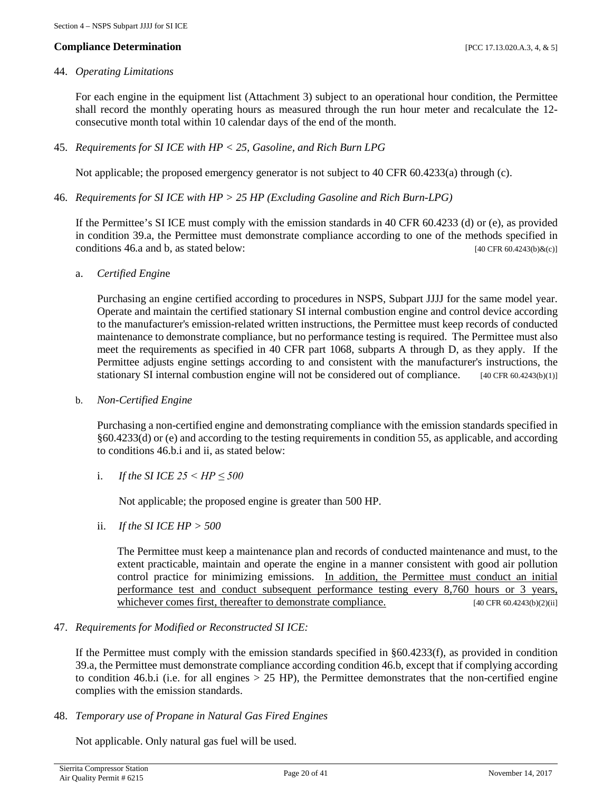### **Compliance Determination** [PCC 17.13.020.A.3, 4, & 5]

### 44. *Operating Limitations*

For each engine in the equipment list (Attachment 3) subject to an operational hour condition, the Permittee shall record the monthly operating hours as measured through the run hour meter and recalculate the 12 consecutive month total within 10 calendar days of the end of the month.

45. *Requirements for SI ICE with HP < 25, Gasoline, and Rich Burn LPG*

Not applicable; the proposed emergency generator is not subject to 40 CFR 60.4233(a) through (c).

46. *Requirements for SI ICE with HP > 25 HP (Excluding Gasoline and Rich Burn-LPG)*

If the Permittee's SI ICE must comply with the emission standards in 40 CFR 60.4233 (d) or (e), as provided in condition 39.a, the Permittee must demonstrate compliance according to one of the methods specified in conditions 46.a and b, as stated below:  $[40 \text{ CFR } 60.4243 \text{ (b)} \&\text{(c)}]$ 

a. *Certified Engin*e

Purchasing an engine certified according to procedures in NSPS, Subpart JJJJ for the same model year. Operate and maintain the certified stationary SI internal combustion engine and control device according to the manufacturer's emission-related written instructions, the Permittee must keep records of conducted maintenance to demonstrate compliance, but no performance testing is required. The Permittee must also meet the requirements as specified in 40 CFR part 1068, subparts A through D, as they apply. If the Permittee adjusts engine settings according to and consistent with the manufacturer's instructions, the stationary SI internal combustion engine will not be considered out of compliance.  $[40 \text{ CFR } 60.4243(b)(1)]$ 

b. *Non-Certified Engine*

Purchasing a non-certified engine and demonstrating compliance with the emission standards specified in §60.4233(d) or (e) and according to the testing requirements in condition 55, as applicable, and according to conditions 46.b.i and ii, as stated below:

i. *If the SI ICE 25 < HP ≤ 500* 

Not applicable; the proposed engine is greater than 500 HP.

ii. *If the SI ICE HP > 500*

The Permittee must keep a maintenance plan and records of conducted maintenance and must, to the extent practicable, maintain and operate the engine in a manner consistent with good air pollution control practice for minimizing emissions. In addition, the Permittee must conduct an initial performance test and conduct subsequent performance testing every 8,760 hours or 3 years, whichever comes first, thereafter to demonstrate compliance. [40 CFR 60.4243(b)(2)(ii]

47. *Requirements for Modified or Reconstructed SI ICE:*

If the Permittee must comply with the emission standards specified in §60.4233(f), as provided in condition 39.a, the Permittee must demonstrate compliance according condition 46.b, except that if complying according to condition 46.b.i (i.e. for all engines  $> 25$  HP), the Permittee demonstrates that the non-certified engine complies with the emission standards.

48. *Temporary use of Propane in Natural Gas Fired Engines*

Not applicable. Only natural gas fuel will be used.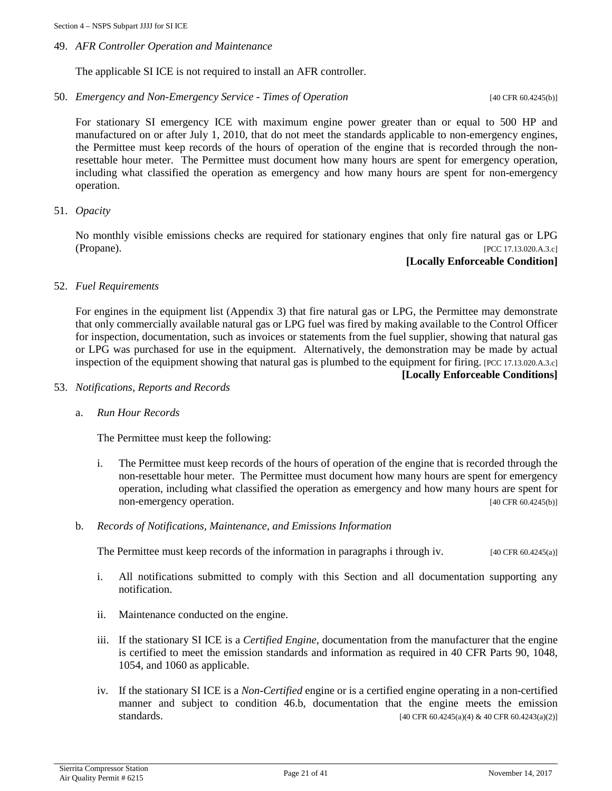### 49. *AFR Controller Operation and Maintenance*

The applicable SI ICE is not required to install an AFR controller.

50. *Emergency and Non-Emergency Service - Times of Operation* [40 CFR 60.4245(b)]

For stationary SI emergency ICE with maximum engine power greater than or equal to 500 HP and manufactured on or after July 1, 2010, that do not meet the standards applicable to non-emergency engines, the Permittee must keep records of the hours of operation of the engine that is recorded through the nonresettable hour meter. The Permittee must document how many hours are spent for emergency operation, including what classified the operation as emergency and how many hours are spent for non-emergency operation.

### 51. *Opacity*

No monthly visible emissions checks are required for stationary engines that only fire natural gas or LPG (Propane). [PCC 17.13.020.A.3.c]

**[Locally Enforceable Condition]**

### 52. *Fuel Requirements*

For engines in the equipment list (Appendix 3) that fire natural gas or LPG, the Permittee may demonstrate that only commercially available natural gas or LPG fuel was fired by making available to the Control Officer for inspection, documentation, such as invoices or statements from the fuel supplier, showing that natural gas or LPG was purchased for use in the equipment. Alternatively, the demonstration may be made by actual inspection of the equipment showing that natural gas is plumbed to the equipment for firing. [PCC 17.13.020.A.3.c]

**[Locally Enforceable Conditions]**

- 53. *Notifications, Reports and Records*
	- a. *Run Hour Records*

The Permittee must keep the following:

- i. The Permittee must keep records of the hours of operation of the engine that is recorded through the non-resettable hour meter. The Permittee must document how many hours are spent for emergency operation, including what classified the operation as emergency and how many hours are spent for non-emergency operation. [40 CFR 60.4245(b)]
- b. *Records of Notifications, Maintenance, and Emissions Information*

The Permittee must keep records of the information in paragraphs i through iv. [40 CFR 60.4245(a)]

- i. All notifications submitted to comply with this Section and all documentation supporting any notification.
- ii. Maintenance conducted on the engine.
- iii. If the stationary SI ICE is a *Certified Engine*, documentation from the manufacturer that the engine is certified to meet the emission standards and information as required in 40 CFR Parts 90, 1048, 1054, and 1060 as applicable.
- iv. If the stationary SI ICE is a *Non-Certified* engine or is a certified engine operating in a non-certified manner and subject to condition 46.b, documentation that the engine meets the emission  $\text{standards.}$  [40 CFR 60.4245(a)(4) & 40 CFR 60.4243(a)(2)]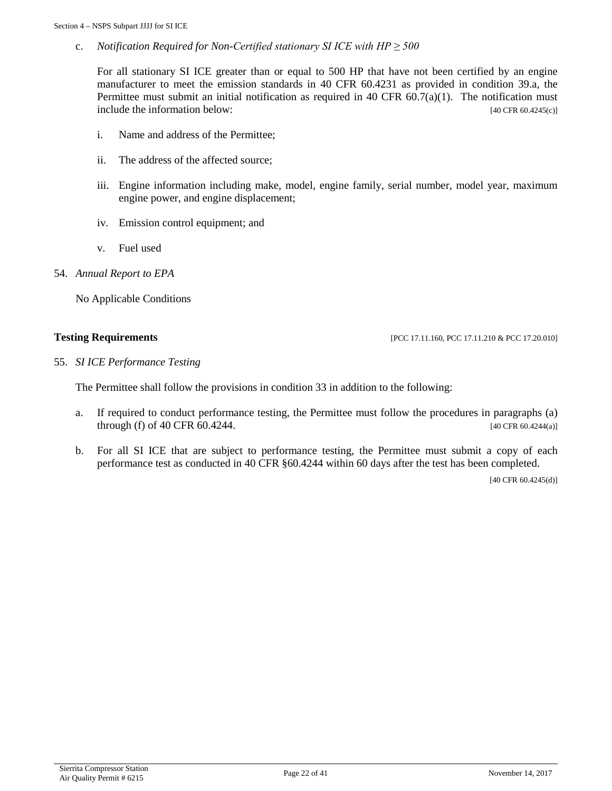c. *Notification Required for Non-Certified stationary SI ICE with HP ≥ 500*

For all stationary SI ICE greater than or equal to 500 HP that have not been certified by an engine manufacturer to meet the emission standards in 40 CFR 60.4231 as provided in condition 39.a, the Permittee must submit an initial notification as required in 40 CFR  $60.7(a)(1)$ . The notification must include the information below: [40 CFR 60.4245(c)]

- i. Name and address of the Permittee;
- ii. The address of the affected source;
- iii. Engine information including make, model, engine family, serial number, model year, maximum engine power, and engine displacement;
- iv. Emission control equipment; and
- v. Fuel used
- 54. *Annual Report to EPA*

No Applicable Conditions

**Testing Requirements [PCC 17.11.160, PCC 17.11.160, PCC 17.11.210 & PCC 17.20.010]** 

55. *SI ICE Performance Testing*

The Permittee shall follow the provisions in condition 33 in addition to the following:

- a. If required to conduct performance testing, the Permittee must follow the procedures in paragraphs (a) through (f) of 40 CFR 60.4244. [40 CFR 60.4244(a)]
- b. For all SI ICE that are subject to performance testing, the Permittee must submit a copy of each performance test as conducted in 40 CFR §60.4244 within 60 days after the test has been completed.

[40 CFR 60.4245(d)]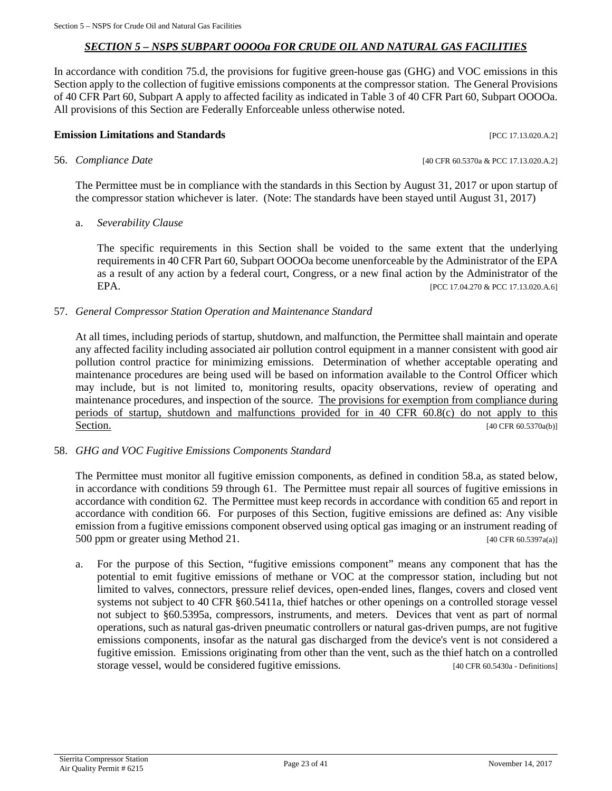### *SECTION 5 – NSPS SUBPART OOOOa FOR CRUDE OIL AND NATURAL GAS FACILITIES*

<span id="page-22-0"></span>In accordance with condition 75.d, the provisions for fugitive green-house gas (GHG) and VOC emissions in this Section apply to the collection of fugitive emissions components at the compressor station. The General Provisions of 40 CFR Part 60, Subpart A apply to affected facility as indicated in Table 3 of 40 CFR Part 60, Subpart OOOOa. All provisions of this Section are Federally Enforceable unless otherwise noted.

### **Emission Limitations and Standards Emission Limitations and Standards Executive Limitations and Standards Executive Limitations and Standards Executive Limitations and Standards**

### 56. *Compliance Date* [40 CFR 60.5370a & PCC 17.13.020.A.2]

The Permittee must be in compliance with the standards in this Section by August 31, 2017 or upon startup of the compressor station whichever is later. (Note: The standards have been stayed until August 31, 2017)

### a. *Severability Clause*

The specific requirements in this Section shall be voided to the same extent that the underlying requirements in 40 CFR Part 60, Subpart OOOOa become unenforceable by the Administrator of the EPA as a result of any action by a federal court, Congress, or a new final action by the Administrator of the EPA. [PCC 17.04.270 & PCC 17.13.020.A.6]

### 57. *General Compressor Station Operation and Maintenance Standard*

At all times, including periods of startup, shutdown, and malfunction, the Permittee shall maintain and operate any affected facility including associated air pollution control equipment in a manner consistent with good air pollution control practice for minimizing emissions. Determination of whether acceptable operating and maintenance procedures are being used will be based on information available to the Control Officer which may include, but is not limited to, monitoring results, opacity observations, review of operating and maintenance procedures, and inspection of the source. The provisions for exemption from compliance during periods of startup, shutdown and malfunctions provided for in 40 CFR 60.8(c) do not apply to this Section. [40 CFR 60.5370a(b)]

### 58. *GHG and VOC Fugitive Emissions Components Standard*

The Permittee must monitor all fugitive emission components, as defined in condition 58.a, as stated below, in accordance with conditions 59 through 61. The Permittee must repair all sources of fugitive emissions in accordance with condition 62. The Permittee must keep records in accordance with condition 65 and report in accordance with condition 66. For purposes of this Section, fugitive emissions are defined as: Any visible emission from a fugitive emissions component observed using optical gas imaging or an instrument reading of 500 ppm or greater using Method 21. [40 CFR 60.5397a(a)]

a. For the purpose of this Section, "fugitive emissions component" means any component that has the potential to emit fugitive emissions of methane or VOC at the compressor station, including but not limited to valves, connectors, pressure relief devices, open-ended lines, flanges, covers and closed vent systems not subject to 40 CFR §60.5411a, thief hatches or other openings on a controlled storage vessel not subject to §60.5395a, compressors, instruments, and meters. Devices that vent as part of normal operations, such as natural gas-driven pneumatic controllers or natural gas-driven pumps, are not fugitive emissions components, insofar as the natural gas discharged from the device's vent is not considered a fugitive emission. Emissions originating from other than the vent, such as the thief hatch on a controlled storage vessel, would be considered fugitive emissions. [40 CFR 60.5430a - Definitions]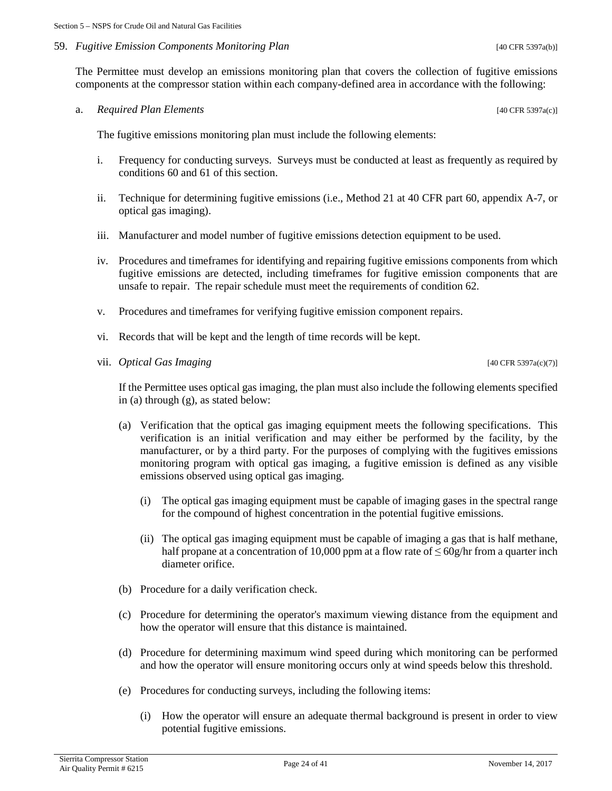### 59. *Fugitive Emission Components Monitoring Plan* [40 CFR 5397a(b)]

The Permittee must develop an emissions monitoring plan that covers the collection of fugitive emissions components at the compressor station within each company-defined area in accordance with the following:

a. *Required Plan Elements* [40 CFR 5397a(c)]

The fugitive emissions monitoring plan must include the following elements:

- i. Frequency for conducting surveys. Surveys must be conducted at least as frequently as required by conditions 60 and 61 of this section.
- ii. Technique for determining fugitive emissions (i.e., Method 21 at 40 CFR part 60, appendix A-7, or optical gas imaging).
- iii. Manufacturer and model number of fugitive emissions detection equipment to be used.
- iv. Procedures and timeframes for identifying and repairing fugitive emissions components from which fugitive emissions are detected, including timeframes for fugitive emission components that are unsafe to repair. The repair schedule must meet the requirements of condition 62.
- v. Procedures and timeframes for verifying fugitive emission component repairs.
- vi. Records that will be kept and the length of time records will be kept.
- vii. *Optical Gas Imaging* [40 CFR 5397a(c)(7)]

If the Permittee uses optical gas imaging, the plan must also include the following elements specified in (a) through (g), as stated below:

- (a) Verification that the optical gas imaging equipment meets the following specifications. This verification is an initial verification and may either be performed by the facility, by the manufacturer, or by a third party. For the purposes of complying with the fugitives emissions monitoring program with optical gas imaging, a fugitive emission is defined as any visible emissions observed using optical gas imaging.
	- (i) The optical gas imaging equipment must be capable of imaging gases in the spectral range for the compound of highest concentration in the potential fugitive emissions.
	- (ii) The optical gas imaging equipment must be capable of imaging a gas that is half methane, half propane at a concentration of 10,000 ppm at a flow rate of  $\leq$  60g/hr from a quarter inch diameter orifice.
- (b) Procedure for a daily verification check.
- (c) Procedure for determining the operator's maximum viewing distance from the equipment and how the operator will ensure that this distance is maintained.
- (d) Procedure for determining maximum wind speed during which monitoring can be performed and how the operator will ensure monitoring occurs only at wind speeds below this threshold.
- (e) Procedures for conducting surveys, including the following items:
	- (i) How the operator will ensure an adequate thermal background is present in order to view potential fugitive emissions.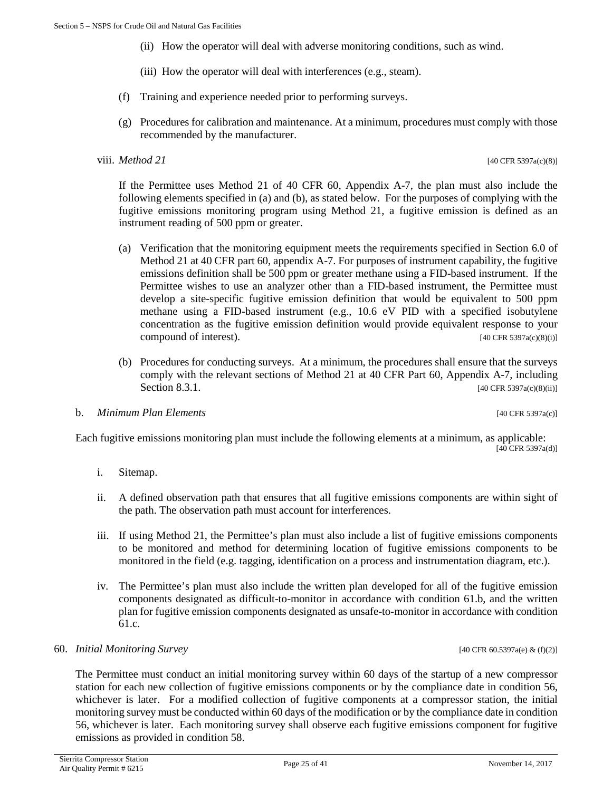- (ii) How the operator will deal with adverse monitoring conditions, such as wind.
- (iii) How the operator will deal with interferences (e.g., steam).
- (f) Training and experience needed prior to performing surveys.
- (g) Procedures for calibration and maintenance. At a minimum, procedures must comply with those recommended by the manufacturer.

### viii. *Method 21* [40 CFR 5397a(c)(8)]

If the Permittee uses Method 21 of 40 CFR 60, Appendix A-7, the plan must also include the following elements specified in (a) and (b), as stated below. For the purposes of complying with the fugitive emissions monitoring program using Method 21, a fugitive emission is defined as an instrument reading of 500 ppm or greater.

- (a) Verification that the monitoring equipment meets the requirements specified in Section 6.0 of Method 21 at 40 CFR part 60, appendix A-7. For purposes of instrument capability, the fugitive emissions definition shall be 500 ppm or greater methane using a FID-based instrument. If the Permittee wishes to use an analyzer other than a FID-based instrument, the Permittee must develop a site-specific fugitive emission definition that would be equivalent to 500 ppm methane using a FID-based instrument (e.g., 10.6 eV PID with a specified isobutylene concentration as the fugitive emission definition would provide equivalent response to your compound of interest).  $[40 \text{ CFR } 5397a(c)(8)(i)]$
- (b) Procedures for conducting surveys. At a minimum, the procedures shall ensure that the surveys comply with the relevant sections of Method 21 at 40 CFR Part 60, Appendix A-7, including Section 8.3.1. [40 CFR 5397a(c)(8)(ii)]

### b. *Minimum Plan Elements* [40 CFR 5397a(c)]

Each fugitive emissions monitoring plan must include the following elements at a minimum, as applicable: [40 CFR 5397a(d)]

- i. Sitemap.
- ii. A defined observation path that ensures that all fugitive emissions components are within sight of the path. The observation path must account for interferences.
- iii. If using Method 21, the Permittee's plan must also include a list of fugitive emissions components to be monitored and method for determining location of fugitive emissions components to be monitored in the field (e.g. tagging, identification on a process and instrumentation diagram, etc.).
- iv. The Permittee's plan must also include the written plan developed for all of the fugitive emission components designated as difficult-to-monitor in accordance with condition 61.b, and the written plan for fugitive emission components designated as unsafe-to-monitor in accordance with condition 61.c.

### 60. *Initial Monitoring Survey* [40 CFR 60.5397a(e) & (f)(2)]

The Permittee must conduct an initial monitoring survey within 60 days of the startup of a new compressor station for each new collection of fugitive emissions components or by the compliance date in condition 56, whichever is later. For a modified collection of fugitive components at a compressor station, the initial monitoring survey must be conducted within 60 days of the modification or by the compliance date in condition 56, whichever is later. Each monitoring survey shall observe each fugitive emissions component for fugitive emissions as provided in condition 58.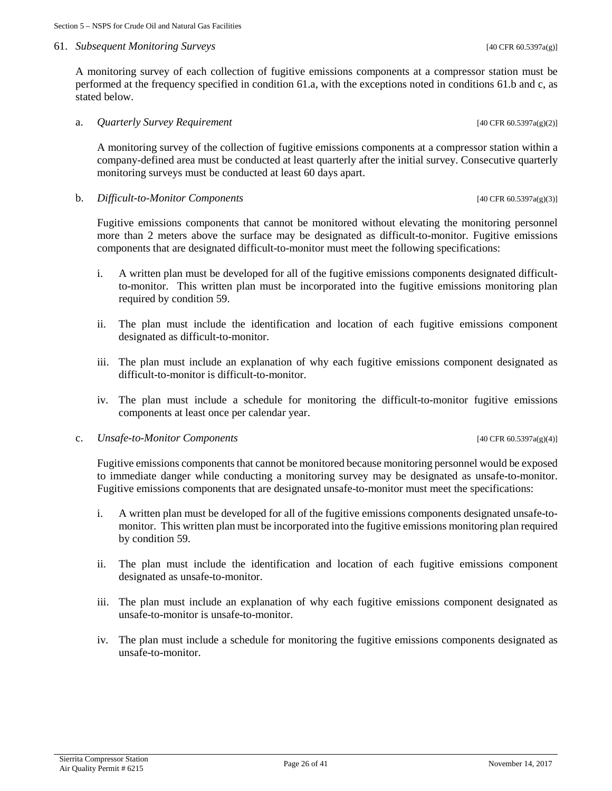### 61. *Subsequent Monitoring Surveys* [40 CFR 60.5397a(g)]

A monitoring survey of each collection of fugitive emissions components at a compressor station must be performed at the frequency specified in condition 61.a, with the exceptions noted in conditions 61.b and c, as stated below.

a. *Quarterly Survey Requirement* [40 CFR 60.5397a(g)(2)]

A monitoring survey of the collection of fugitive emissions components at a compressor station within a company-defined area must be conducted at least quarterly after the initial survey. Consecutive quarterly monitoring surveys must be conducted at least 60 days apart.

### b. *Difficult-to-Monitor Components* [40 CFR 60.5397a(g)(3)]

Fugitive emissions components that cannot be monitored without elevating the monitoring personnel more than 2 meters above the surface may be designated as difficult-to-monitor. Fugitive emissions components that are designated difficult-to-monitor must meet the following specifications:

- i. A written plan must be developed for all of the fugitive emissions components designated difficultto-monitor. This written plan must be incorporated into the fugitive emissions monitoring plan required by condition 59.
- ii. The plan must include the identification and location of each fugitive emissions component designated as difficult-to-monitor.
- iii. The plan must include an explanation of why each fugitive emissions component designated as difficult-to-monitor is difficult-to-monitor.
- iv. The plan must include a schedule for monitoring the difficult-to-monitor fugitive emissions components at least once per calendar year.

### c. *Unsafe-to-Monitor Components* [40 CFR 60.5397a(g)(4)]

Fugitive emissions components that cannot be monitored because monitoring personnel would be exposed to immediate danger while conducting a monitoring survey may be designated as unsafe-to-monitor. Fugitive emissions components that are designated unsafe-to-monitor must meet the specifications:

- i. A written plan must be developed for all of the fugitive emissions components designated unsafe-tomonitor. This written plan must be incorporated into the fugitive emissions monitoring plan required by condition 59.
- ii. The plan must include the identification and location of each fugitive emissions component designated as unsafe-to-monitor.
- iii. The plan must include an explanation of why each fugitive emissions component designated as unsafe-to-monitor is unsafe-to-monitor.
- iv. The plan must include a schedule for monitoring the fugitive emissions components designated as unsafe-to-monitor.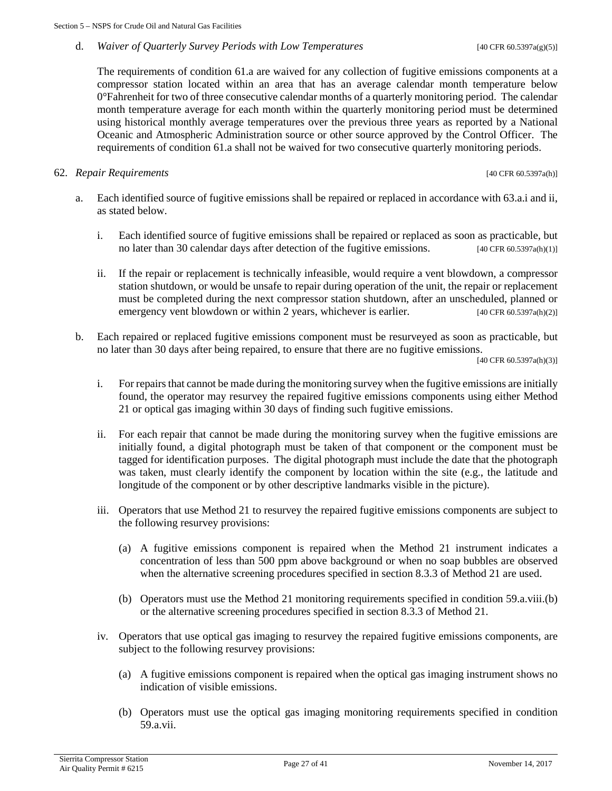### d. *Waiver of Quarterly Survey Periods with Low Temperatures* [40 CFR 60.5397a(g)(5)]

The requirements of condition 61.a are waived for any collection of fugitive emissions components at a compressor station located within an area that has an average calendar month temperature below 0°Fahrenheit for two of three consecutive calendar months of a quarterly monitoring period. The calendar month temperature average for each month within the quarterly monitoring period must be determined using historical monthly average temperatures over the previous three years as reported by a National Oceanic and Atmospheric Administration source or other source approved by the Control Officer. The requirements of condition 61.a shall not be waived for two consecutive quarterly monitoring periods.

### 62. *Repair Requirements* [40 CFR 60.5397a(h)]

- a. Each identified source of fugitive emissions shall be repaired or replaced in accordance with 63.a.i and ii, as stated below.
	- i. Each identified source of fugitive emissions shall be repaired or replaced as soon as practicable, but no later than 30 calendar days after detection of the fugitive emissions. [40 CFR 60.5397a(h)(1)]
	- ii. If the repair or replacement is technically infeasible, would require a vent blowdown, a compressor station shutdown, or would be unsafe to repair during operation of the unit, the repair or replacement must be completed during the next compressor station shutdown, after an unscheduled, planned or emergency vent blowdown or within 2 years, whichever is earlier.  $[40 \text{ CFR } 60.5397a(h)(2)]$
- b. Each repaired or replaced fugitive emissions component must be resurveyed as soon as practicable, but no later than 30 days after being repaired, to ensure that there are no fugitive emissions.

[40 CFR 60.5397a(h)(3)]

- i. For repairs that cannot be made during the monitoring survey when the fugitive emissions are initially found, the operator may resurvey the repaired fugitive emissions components using either Method 21 or optical gas imaging within 30 days of finding such fugitive emissions.
- ii. For each repair that cannot be made during the monitoring survey when the fugitive emissions are initially found, a digital photograph must be taken of that component or the component must be tagged for identification purposes. The digital photograph must include the date that the photograph was taken, must clearly identify the component by location within the site (e.g., the latitude and longitude of the component or by other descriptive landmarks visible in the picture).
- iii. Operators that use Method 21 to resurvey the repaired fugitive emissions components are subject to the following resurvey provisions:
	- (a) A fugitive emissions component is repaired when the Method 21 instrument indicates a concentration of less than 500 ppm above background or when no soap bubbles are observed when the alternative screening procedures specified in section 8.3.3 of Method 21 are used.
	- (b) Operators must use the Method 21 monitoring requirements specified in condition 59.a.viii.(b) or the alternative screening procedures specified in section 8.3.3 of Method 21.
- iv. Operators that use optical gas imaging to resurvey the repaired fugitive emissions components, are subject to the following resurvey provisions:
	- (a) A fugitive emissions component is repaired when the optical gas imaging instrument shows no indication of visible emissions.
	- (b) Operators must use the optical gas imaging monitoring requirements specified in condition 59.a.vii.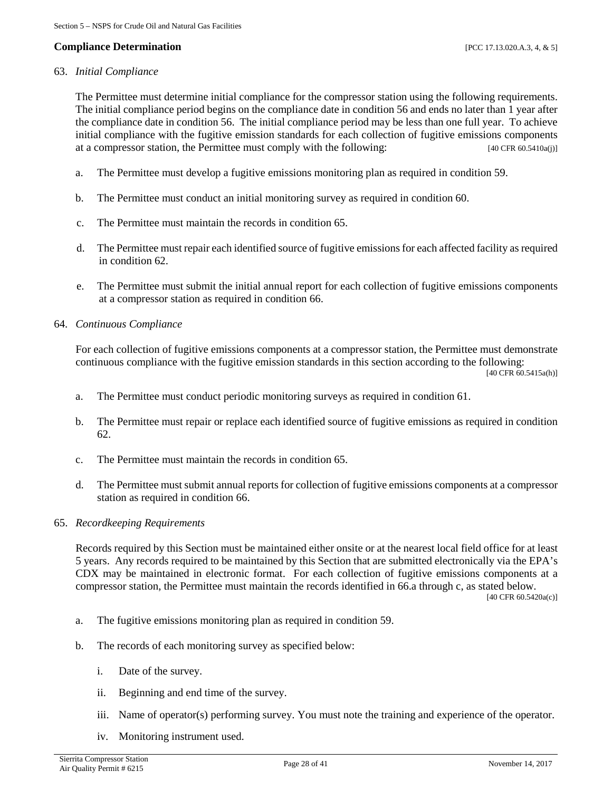### **Compliance Determination** [PCC 17.13.020.A.3, 4, & 5]

### 63. *Initial Compliance*

The Permittee must determine initial compliance for the compressor station using the following requirements. The initial compliance period begins on the compliance date in condition 56 and ends no later than 1 year after the compliance date in condition 56. The initial compliance period may be less than one full year. To achieve initial compliance with the fugitive emission standards for each collection of fugitive emissions components at a compressor station, the Permittee must comply with the following: [40 CFR 60.5410a(j)]

- a. The Permittee must develop a fugitive emissions monitoring plan as required in condition 59.
- b. The Permittee must conduct an initial monitoring survey as required in condition 60.
- c. The Permittee must maintain the records in condition 65.
- d. The Permittee must repair each identified source of fugitive emissions for each affected facility as required in condition 62.
- e. The Permittee must submit the initial annual report for each collection of fugitive emissions components at a compressor station as required in condition 66.
- 64. *Continuous Compliance*

For each collection of fugitive emissions components at a compressor station, the Permittee must demonstrate continuous compliance with the fugitive emission standards in this section according to the following: [40 CFR 60.5415a(h)]

- a. The Permittee must conduct periodic monitoring surveys as required in condition 61.
- b. The Permittee must repair or replace each identified source of fugitive emissions as required in condition 62.
- c. The Permittee must maintain the records in condition 65.
- d. The Permittee must submit annual reports for collection of fugitive emissions components at a compressor station as required in condition 66.
- 65. *Recordkeeping Requirements*

Records required by this Section must be maintained either onsite or at the nearest local field office for at least 5 years. Any records required to be maintained by this Section that are submitted electronically via the EPA's CDX may be maintained in electronic format. For each collection of fugitive emissions components at a compressor station, the Permittee must maintain the records identified in 66.a through c, as stated below.

[40 CFR 60.5420a(c)]

- a. The fugitive emissions monitoring plan as required in condition 59.
- b. The records of each monitoring survey as specified below:
	- i. Date of the survey.
	- ii. Beginning and end time of the survey.
	- iii. Name of operator(s) performing survey. You must note the training and experience of the operator.
	- iv. Monitoring instrument used.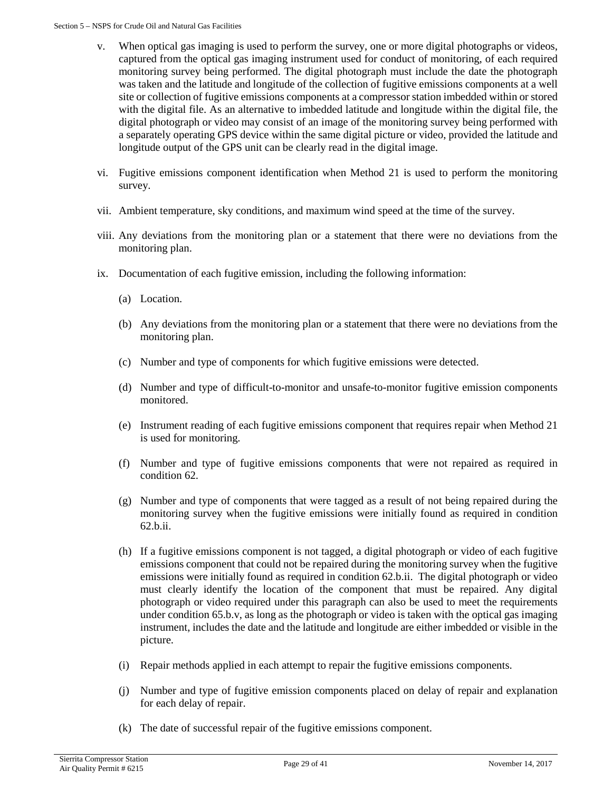- v. When optical gas imaging is used to perform the survey, one or more digital photographs or videos, captured from the optical gas imaging instrument used for conduct of monitoring, of each required monitoring survey being performed. The digital photograph must include the date the photograph was taken and the latitude and longitude of the collection of fugitive emissions components at a well site or collection of fugitive emissions components at a compressor station imbedded within or stored with the digital file. As an alternative to imbedded latitude and longitude within the digital file, the digital photograph or video may consist of an image of the monitoring survey being performed with a separately operating GPS device within the same digital picture or video, provided the latitude and longitude output of the GPS unit can be clearly read in the digital image.
- vi. Fugitive emissions component identification when Method 21 is used to perform the monitoring survey.
- vii. Ambient temperature, sky conditions, and maximum wind speed at the time of the survey.
- viii. Any deviations from the monitoring plan or a statement that there were no deviations from the monitoring plan.
- ix. Documentation of each fugitive emission, including the following information:
	- (a) Location.
	- (b) Any deviations from the monitoring plan or a statement that there were no deviations from the monitoring plan.
	- (c) Number and type of components for which fugitive emissions were detected.
	- (d) Number and type of difficult-to-monitor and unsafe-to-monitor fugitive emission components monitored.
	- (e) Instrument reading of each fugitive emissions component that requires repair when Method 21 is used for monitoring.
	- (f) Number and type of fugitive emissions components that were not repaired as required in condition 62.
	- (g) Number and type of components that were tagged as a result of not being repaired during the monitoring survey when the fugitive emissions were initially found as required in condition 62.b.ii.
	- (h) If a fugitive emissions component is not tagged, a digital photograph or video of each fugitive emissions component that could not be repaired during the monitoring survey when the fugitive emissions were initially found as required in condition 62.b.ii. The digital photograph or video must clearly identify the location of the component that must be repaired. Any digital photograph or video required under this paragraph can also be used to meet the requirements under condition 65.b.v, as long as the photograph or video is taken with the optical gas imaging instrument, includes the date and the latitude and longitude are either imbedded or visible in the picture.
	- (i) Repair methods applied in each attempt to repair the fugitive emissions components.
	- (j) Number and type of fugitive emission components placed on delay of repair and explanation for each delay of repair.
	- (k) The date of successful repair of the fugitive emissions component.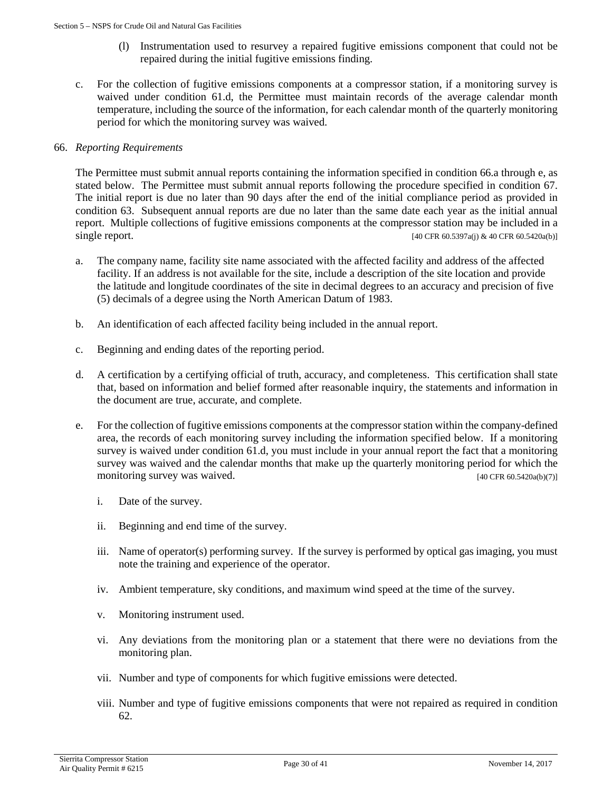- (l) Instrumentation used to resurvey a repaired fugitive emissions component that could not be repaired during the initial fugitive emissions finding.
- c. For the collection of fugitive emissions components at a compressor station, if a monitoring survey is waived under condition 61.d, the Permittee must maintain records of the average calendar month temperature, including the source of the information, for each calendar month of the quarterly monitoring period for which the monitoring survey was waived.

### 66. *Reporting Requirements*

The Permittee must submit annual reports containing the information specified in condition 66.a through e, as stated below. The Permittee must submit annual reports following the procedure specified in condition 67. The initial report is due no later than 90 days after the end of the initial compliance period as provided in condition 63. Subsequent annual reports are due no later than the same date each year as the initial annual report. Multiple collections of fugitive emissions components at the compressor station may be included in a single report. [40 CFR 60.5397a(j) & 40 CFR 60.5420a(b)]

- a. The company name, facility site name associated with the affected facility and address of the affected facility. If an address is not available for the site, include a description of the site location and provide the latitude and longitude coordinates of the site in decimal degrees to an accuracy and precision of five (5) decimals of a degree using the North American Datum of 1983.
- b. An identification of each affected facility being included in the annual report.
- c. Beginning and ending dates of the reporting period.
- d. A certification by a certifying official of truth, accuracy, and completeness. This certification shall state that, based on information and belief formed after reasonable inquiry, the statements and information in the document are true, accurate, and complete.
- e. For the collection of fugitive emissions components at the compressor station within the company-defined area, the records of each monitoring survey including the information specified below. If a monitoring survey is waived under condition 61.d, you must include in your annual report the fact that a monitoring survey was waived and the calendar months that make up the quarterly monitoring period for which the monitoring survey was waived.  $[40 \text{ CFR } 60.5420 \text{a(b)(7)}]$ 
	- i. Date of the survey.
	- ii. Beginning and end time of the survey.
	- iii. Name of operator(s) performing survey. If the survey is performed by optical gas imaging, you must note the training and experience of the operator.
	- iv. Ambient temperature, sky conditions, and maximum wind speed at the time of the survey.
	- v. Monitoring instrument used.
	- vi. Any deviations from the monitoring plan or a statement that there were no deviations from the monitoring plan.
	- vii. Number and type of components for which fugitive emissions were detected.
	- viii. Number and type of fugitive emissions components that were not repaired as required in condition 62.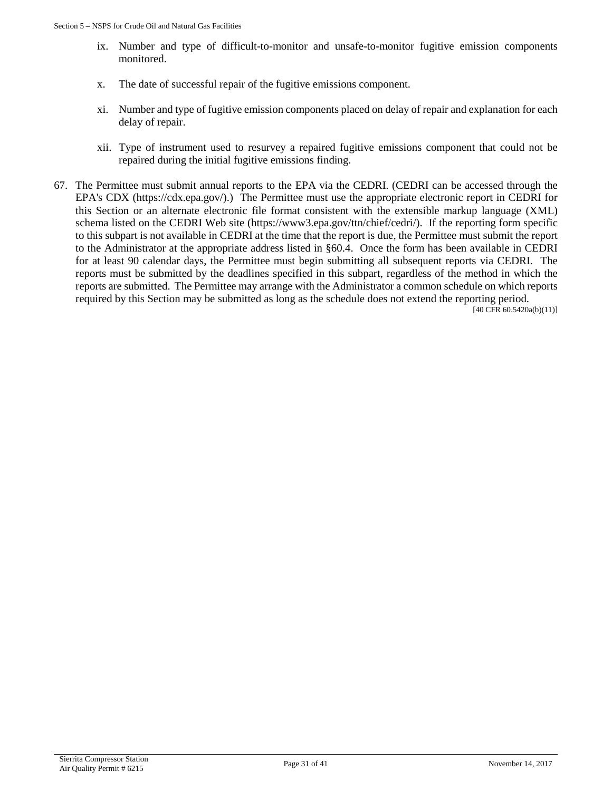- ix. Number and type of difficult-to-monitor and unsafe-to-monitor fugitive emission components monitored.
- x. The date of successful repair of the fugitive emissions component.
- xi. Number and type of fugitive emission components placed on delay of repair and explanation for each delay of repair.
- xii. Type of instrument used to resurvey a repaired fugitive emissions component that could not be repaired during the initial fugitive emissions finding.
- 67. The Permittee must submit annual reports to the EPA via the CEDRI. (CEDRI can be accessed through the EPA's CDX (https://cdx.epa.gov/).) The Permittee must use the appropriate electronic report in CEDRI for this Section or an alternate electronic file format consistent with the extensible markup language (XML) schema listed on the CEDRI Web site (https://www3.epa.gov/ttn/chief/cedri/). If the reporting form specific to this subpart is not available in CEDRI at the time that the report is due, the Permittee must submit the report to the Administrator at the appropriate address listed in §60.4. Once the form has been available in CEDRI for at least 90 calendar days, the Permittee must begin submitting all subsequent reports via CEDRI. The reports must be submitted by the deadlines specified in this subpart, regardless of the method in which the reports are submitted. The Permittee may arrange with the Administrator a common schedule on which reports required by this Section may be submitted as long as the schedule does not extend the reporting period. [40 CFR 60.5420a(b)(11)]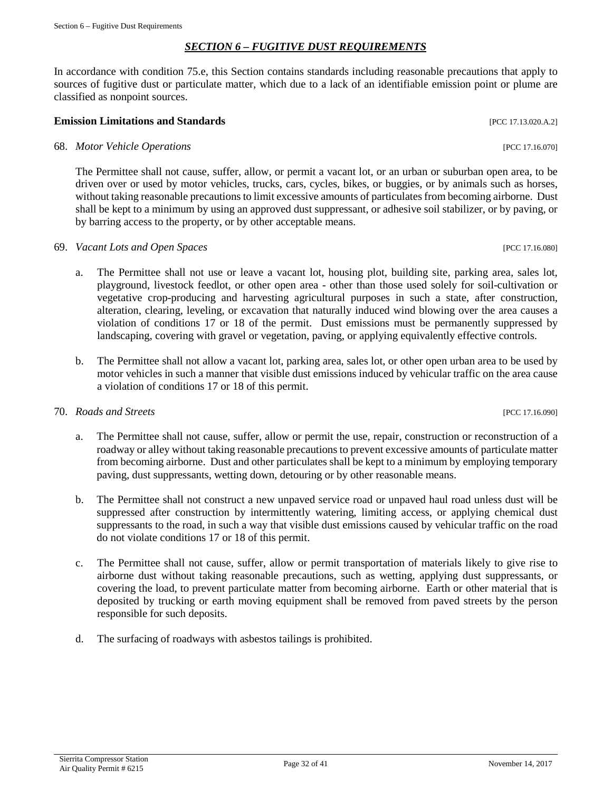# *SECTION 6 – FUGITIVE DUST REQUIREMENTS*

<span id="page-31-0"></span>In accordance with condition 75.e, this Section contains standards including reasonable precautions that apply to sources of fugitive dust or particulate matter, which due to a lack of an identifiable emission point or plume are classified as nonpoint sources.

# **Emission Limitations and Standards Exercíal Exercíal Exercíal Exercíal Exercíal Exercíal Exercíal Exercíal Exercíal Exercíal Exercíal Exercíal Exercíal Exercíal Exercíal Exercíal Exercíal Exercíal Exercíal Exercíal Exer**

# 68. *Motor Vehicle Operations* [PCC 17.16.070]

The Permittee shall not cause, suffer, allow, or permit a vacant lot, or an urban or suburban open area, to be driven over or used by motor vehicles, trucks, cars, cycles, bikes, or buggies, or by animals such as horses, without taking reasonable precautions to limit excessive amounts of particulates from becoming airborne. Dust shall be kept to a minimum by using an approved dust suppressant, or adhesive soil stabilizer, or by paving, or by barring access to the property, or by other acceptable means.

# 69. *Vacant Lots and Open Spaces* [PCC 17.16.080]

- a. The Permittee shall not use or leave a vacant lot, housing plot, building site, parking area, sales lot, playground, livestock feedlot, or other open area - other than those used solely for soil-cultivation or vegetative crop-producing and harvesting agricultural purposes in such a state, after construction, alteration, clearing, leveling, or excavation that naturally induced wind blowing over the area causes a violation of conditions 17 or 18 of the permit. Dust emissions must be permanently suppressed by landscaping, covering with gravel or vegetation, paving, or applying equivalently effective controls.
- b. The Permittee shall not allow a vacant lot, parking area, sales lot, or other open urban area to be used by motor vehicles in such a manner that visible dust emissions induced by vehicular traffic on the area cause a violation of conditions 17 or 18 of this permit.

# 70. *Roads and Streets* [PCC 17.16.090]

- a. The Permittee shall not cause, suffer, allow or permit the use, repair, construction or reconstruction of a roadway or alley without taking reasonable precautions to prevent excessive amounts of particulate matter from becoming airborne. Dust and other particulates shall be kept to a minimum by employing temporary paving, dust suppressants, wetting down, detouring or by other reasonable means.
- b. The Permittee shall not construct a new unpaved service road or unpaved haul road unless dust will be suppressed after construction by intermittently watering, limiting access, or applying chemical dust suppressants to the road, in such a way that visible dust emissions caused by vehicular traffic on the road do not violate conditions 17 or 18 of this permit.
- c. The Permittee shall not cause, suffer, allow or permit transportation of materials likely to give rise to airborne dust without taking reasonable precautions, such as wetting, applying dust suppressants, or covering the load, to prevent particulate matter from becoming airborne. Earth or other material that is deposited by trucking or earth moving equipment shall be removed from paved streets by the person responsible for such deposits.
- d. The surfacing of roadways with asbestos tailings is prohibited.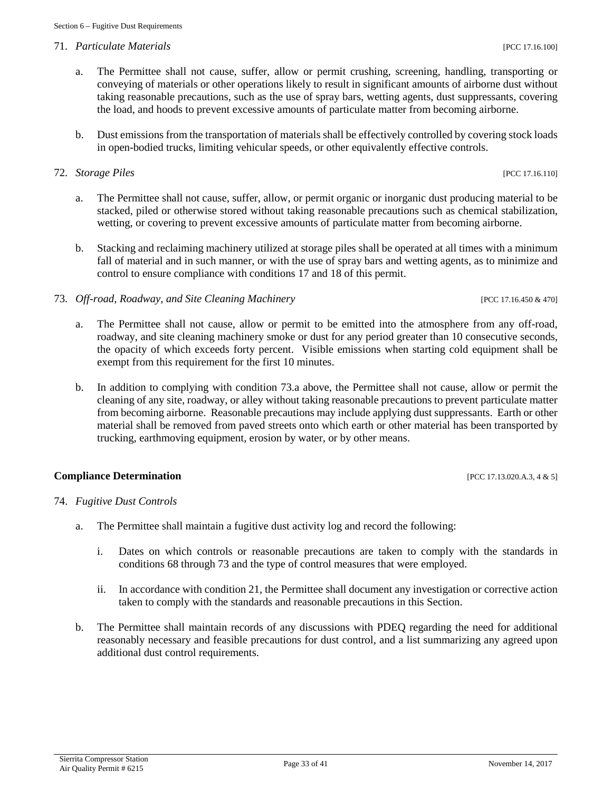# 71. *Particulate Materials* [PCC 17.16.100]

- a. The Permittee shall not cause, suffer, allow or permit crushing, screening, handling, transporting or conveying of materials or other operations likely to result in significant amounts of airborne dust without taking reasonable precautions, such as the use of spray bars, wetting agents, dust suppressants, covering the load, and hoods to prevent excessive amounts of particulate matter from becoming airborne.
- b. Dust emissions from the transportation of materials shall be effectively controlled by covering stock loads in open-bodied trucks, limiting vehicular speeds, or other equivalently effective controls.

# 72. *Storage Piles* [PCC 17.16.110]

- a. The Permittee shall not cause, suffer, allow, or permit organic or inorganic dust producing material to be stacked, piled or otherwise stored without taking reasonable precautions such as chemical stabilization, wetting, or covering to prevent excessive amounts of particulate matter from becoming airborne.
- b. Stacking and reclaiming machinery utilized at storage piles shall be operated at all times with a minimum fall of material and in such manner, or with the use of spray bars and wetting agents, as to minimize and control to ensure compliance with conditions 17 and 18 of this permit.
- 73. *Off-road, Roadway, and Site Cleaning Machinery* [PCC 17.16.450 & 470]
	- a. The Permittee shall not cause, allow or permit to be emitted into the atmosphere from any off-road, roadway, and site cleaning machinery smoke or dust for any period greater than 10 consecutive seconds, the opacity of which exceeds forty percent. Visible emissions when starting cold equipment shall be exempt from this requirement for the first 10 minutes.
	- b. In addition to complying with condition 73.a above, the Permittee shall not cause, allow or permit the cleaning of any site, roadway, or alley without taking reasonable precautions to prevent particulate matter from becoming airborne. Reasonable precautions may include applying dust suppressants. Earth or other material shall be removed from paved streets onto which earth or other material has been transported by trucking, earthmoving equipment, erosion by water, or by other means.

# **Compliance Determination** [PCC 17.13.020.A.3, 4 & 5]

- 74. *Fugitive Dust Controls*
	- a. The Permittee shall maintain a fugitive dust activity log and record the following:
		- i. Dates on which controls or reasonable precautions are taken to comply with the standards in conditions 68 through 73 and the type of control measures that were employed.
		- ii. In accordance with condition 21, the Permittee shall document any investigation or corrective action taken to comply with the standards and reasonable precautions in this Section.
	- b. The Permittee shall maintain records of any discussions with PDEQ regarding the need for additional reasonably necessary and feasible precautions for dust control, and a list summarizing any agreed upon additional dust control requirements.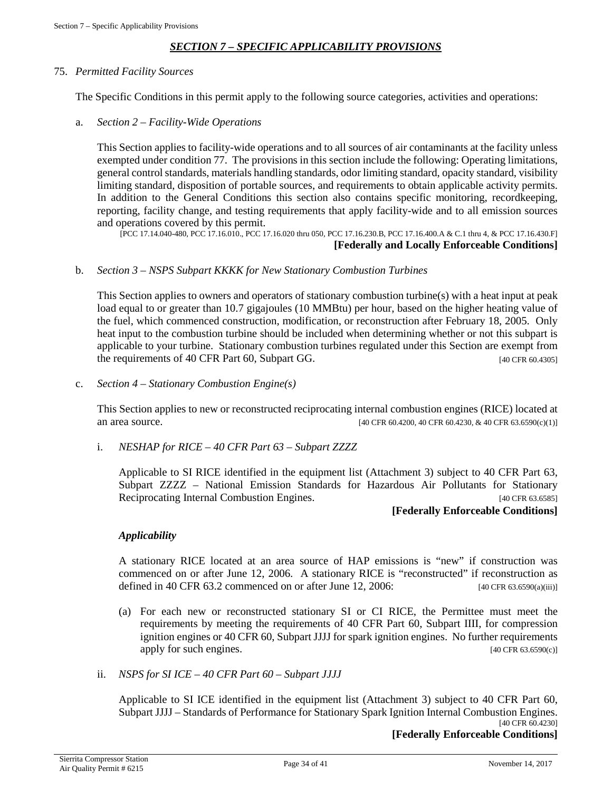### *SECTION 7 – SPECIFIC APPLICABILITY PROVISIONS*

### <span id="page-33-0"></span>75. *Permitted Facility Sources*

The Specific Conditions in this permit apply to the following source categories, activities and operations:

a. *Section 2 – Facility-Wide Operations*

This Section applies to facility-wide operations and to all sources of air contaminants at the facility unless exempted under condition 77. The provisions in this section include the following: Operating limitations, general control standards, materials handling standards, odor limiting standard, opacity standard, visibility limiting standard, disposition of portable sources, and requirements to obtain applicable activity permits. In addition to the General Conditions this section also contains specific monitoring, recordkeeping, reporting, facility change, and testing requirements that apply facility-wide and to all emission sources and operations covered by this permit.

[PCC 17.14.040-480, PCC 17.16.010., PCC 17.16.020 thru 050, PCC 17.16.230.B, PCC 17.16.400.A & C.1 thru 4, & PCC 17.16.430.F]

**[Federally and Locally Enforceable Conditions]**

### b. *Section 3 – NSPS Subpart KKKK for New Stationary Combustion Turbines*

This Section applies to owners and operators of stationary combustion turbine(s) with a heat input at peak load equal to or greater than 10.7 gigajoules (10 MMBtu) per hour, based on the higher heating value of the fuel, which commenced construction, modification, or reconstruction after February 18, 2005. Only heat input to the combustion turbine should be included when determining whether or not this subpart is applicable to your turbine. Stationary combustion turbines regulated under this Section are exempt from the requirements of 40 CFR Part 60, Subpart GG. [40 CFR 60.4305]

c. *Section 4 – Stationary Combustion Engine(s)*

This Section applies to new or reconstructed reciprocating internal combustion engines (RICE) located at an area source. [40 CFR 60.4200, 40 CFR 60.4230, & 40 CFR 63.6590(c)(1)]

i. *NESHAP for RICE – 40 CFR Part 63 – Subpart ZZZZ*

Applicable to SI RICE identified in the equipment list (Attachment 3) subject to 40 CFR Part 63, Subpart ZZZZ – National Emission Standards for Hazardous Air Pollutants for Stationary Reciprocating Internal Combustion Engines. [40 CFR 63.6585]

### **[Federally Enforceable Conditions]**

### *Applicability*

A stationary RICE located at an area source of HAP emissions is "new" if construction was commenced on or after June 12, 2006. A stationary RICE is "reconstructed" if reconstruction as defined in 40 CFR 63.2 commenced on or after June 12, 2006: [40 CFR 63.6590(a)(iii)]

- (a) For each new or reconstructed stationary SI or CI RICE, the Permittee must meet the requirements by meeting the requirements of 40 CFR Part 60, Subpart IIII, for compression ignition engines or 40 CFR 60, Subpart JJJJ for spark ignition engines. No further requirements apply for such engines.  $[40 \text{ CFR } 63.6590(c)]$
- ii. *NSPS for SI ICE – 40 CFR Part 60 – Subpart JJJJ*

Applicable to SI ICE identified in the equipment list (Attachment 3) subject to 40 CFR Part 60, Subpart JJJJ – Standards of Performance for Stationary Spark Ignition Internal Combustion Engines. [40 CFR 60.4230]

**[Federally Enforceable Conditions]**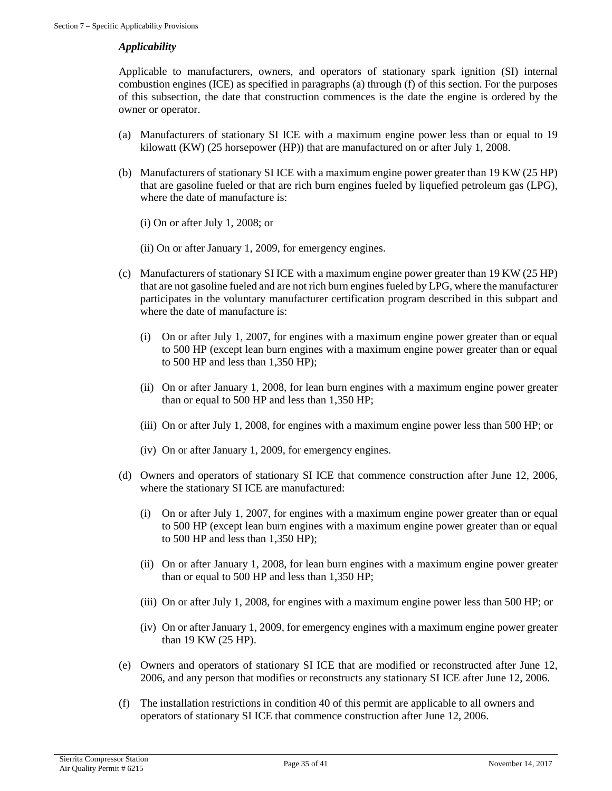### *Applicability*

Applicable to manufacturers, owners, and operators of stationary spark ignition (SI) internal combustion engines (ICE) as specified in paragraphs (a) through (f) of this section. For the purposes of this subsection, the date that construction commences is the date the engine is ordered by the owner or operator.

- (a) Manufacturers of stationary SI ICE with a maximum engine power less than or equal to 19 kilowatt (KW) (25 horsepower (HP)) that are manufactured on or after July 1, 2008.
- (b) Manufacturers of stationary SI ICE with a maximum engine power greater than 19 KW (25 HP) that are gasoline fueled or that are rich burn engines fueled by liquefied petroleum gas (LPG), where the date of manufacture is:
	- (i) On or after July 1, 2008; or
	- (ii) On or after January 1, 2009, for emergency engines.
- (c) Manufacturers of stationary SI ICE with a maximum engine power greater than 19 KW (25 HP) that are not gasoline fueled and are not rich burn engines fueled by LPG, where the manufacturer participates in the voluntary manufacturer certification program described in this subpart and where the date of manufacture is:
	- (i) On or after July 1, 2007, for engines with a maximum engine power greater than or equal to 500 HP (except lean burn engines with a maximum engine power greater than or equal to 500 HP and less than 1,350 HP);
	- (ii) On or after January 1, 2008, for lean burn engines with a maximum engine power greater than or equal to 500 HP and less than 1,350 HP;
	- (iii) On or after July 1, 2008, for engines with a maximum engine power less than 500 HP; or
	- (iv) On or after January 1, 2009, for emergency engines.
- (d) Owners and operators of stationary SI ICE that commence construction after June 12, 2006, where the stationary SI ICE are manufactured:
	- (i) On or after July 1, 2007, for engines with a maximum engine power greater than or equal to 500 HP (except lean burn engines with a maximum engine power greater than or equal to 500 HP and less than 1,350 HP);
	- (ii) On or after January 1, 2008, for lean burn engines with a maximum engine power greater than or equal to 500 HP and less than 1,350 HP;
	- (iii) On or after July 1, 2008, for engines with a maximum engine power less than 500 HP; or
	- (iv) On or after January 1, 2009, for emergency engines with a maximum engine power greater than 19 KW (25 HP).
- (e) Owners and operators of stationary SI ICE that are modified or reconstructed after June 12, 2006, and any person that modifies or reconstructs any stationary SI ICE after June 12, 2006.
- (f) The installation restrictions in condition 40 of this permit are applicable to all owners and operators of stationary SI ICE that commence construction after June 12, 2006.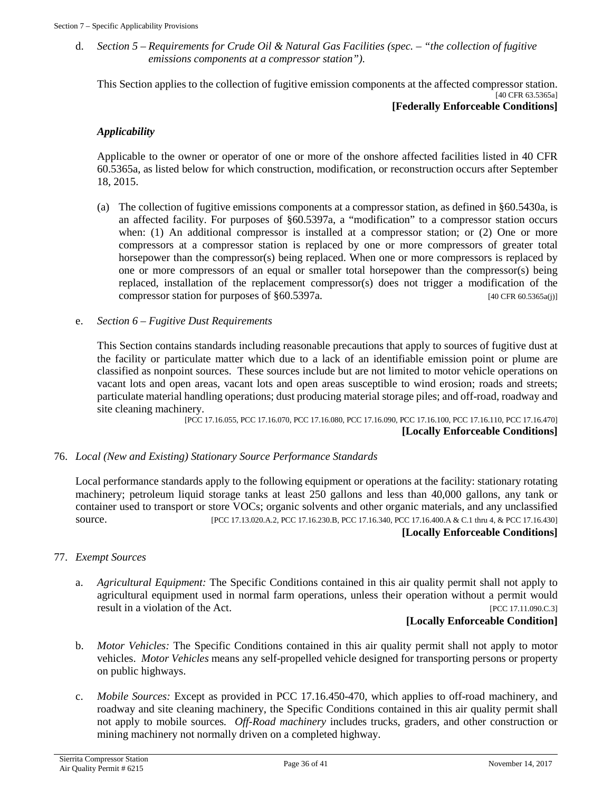d. *Section 5 – Requirements for Crude Oil & Natural Gas Facilities (spec. – "the collection of fugitive emissions components at a compressor station").*

This Section applies to the collection of fugitive emission components at the affected compressor station. [40 CFR 63.5365a] **[Federally Enforceable Conditions]**

### *Applicability*

Applicable to the owner or operator of one or more of the onshore affected facilities listed in 40 CFR 60.5365a, as listed below for which construction, modification, or reconstruction occurs after September 18, 2015.

- (a) The collection of fugitive emissions components at a compressor station, as defined in §60.5430a, is an affected facility. For purposes of §60.5397a, a "modification" to a compressor station occurs when: (1) An additional compressor is installed at a compressor station; or (2) One or more compressors at a compressor station is replaced by one or more compressors of greater total horsepower than the compressor(s) being replaced. When one or more compressors is replaced by one or more compressors of an equal or smaller total horsepower than the compressor(s) being replaced, installation of the replacement compressor(s) does not trigger a modification of the compressor station for purposes of  $\S60.5397a$ . [40 CFR 60.5365a(j)]
- e. *Section 6 – Fugitive Dust Requirements*

This Section contains standards including reasonable precautions that apply to sources of fugitive dust at the facility or particulate matter which due to a lack of an identifiable emission point or plume are classified as nonpoint sources. These sources include but are not limited to motor vehicle operations on vacant lots and open areas, vacant lots and open areas susceptible to wind erosion; roads and streets; particulate material handling operations; dust producing material storage piles; and off-road, roadway and site cleaning machinery.

[PCC 17.16.055, PCC 17.16.070, PCC 17.16.080, PCC 17.16.090, PCC 17.16.100, PCC 17.16.110, PCC 17.16.470] **[Locally Enforceable Conditions]**

### 76. *Local (New and Existing) Stationary Source Performance Standards*

Local performance standards apply to the following equipment or operations at the facility: stationary rotating machinery; petroleum liquid storage tanks at least 250 gallons and less than 40,000 gallons, any tank or container used to transport or store VOCs; organic solvents and other organic materials, and any unclassified source. [PCC 17.13.020.A.2, PCC 17.16.230.B, PCC 17.16.340, PCC 17.16.400.A & C.1 thru 4, & PCC 17.16.430]

### **[Locally Enforceable Conditions]**

### 77. *Exempt Sources*

a. *Agricultural Equipment:* The Specific Conditions contained in this air quality permit shall not apply to agricultural equipment used in normal farm operations, unless their operation without a permit would result in a violation of the Act.  $[PCC 17.11.090.C.3]$ 

### **[Locally Enforceable Condition]**

- b. *Motor Vehicles:* The Specific Conditions contained in this air quality permit shall not apply to motor vehicles. *Motor Vehicles* means any self-propelled vehicle designed for transporting persons or property on public highways.
- c. *Mobile Sources:* Except as provided in PCC 17.16.450-470, which applies to off-road machinery, and roadway and site cleaning machinery, the Specific Conditions contained in this air quality permit shall not apply to mobile sources*. Off-Road machinery* includes trucks, graders, and other construction or mining machinery not normally driven on a completed highway.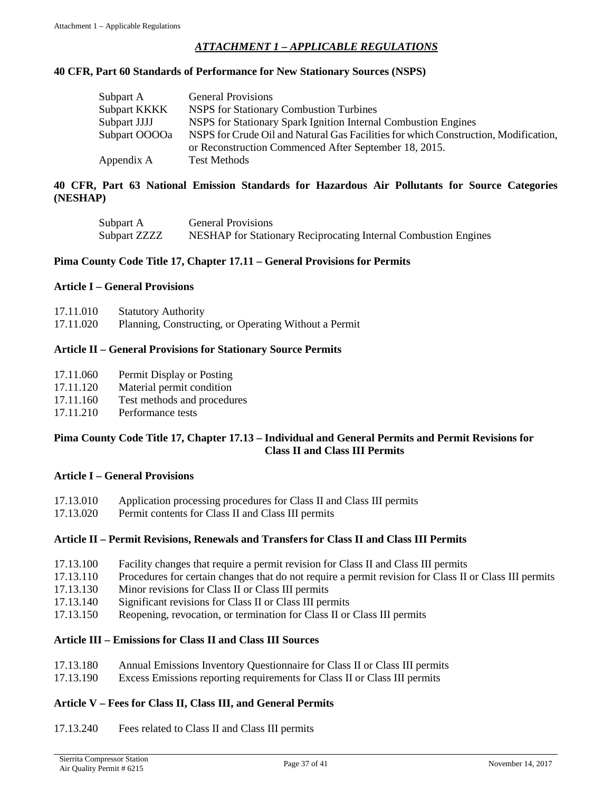### *ATTACHMENT 1 – APPLICABLE REGULATIONS*

### <span id="page-36-0"></span>**40 CFR, Part 60 Standards of Performance for New Stationary Sources (NSPS)**

| Subpart A     | <b>General Provisions</b>                                                           |
|---------------|-------------------------------------------------------------------------------------|
| Subpart KKKK  | NSPS for Stationary Combustion Turbines                                             |
| Subpart JJJJ  | NSPS for Stationary Spark Ignition Internal Combustion Engines                      |
| Subpart OOOOa | NSPS for Crude Oil and Natural Gas Facilities for which Construction, Modification, |
|               | or Reconstruction Commenced After September 18, 2015.                               |
| Appendix A    | <b>Test Methods</b>                                                                 |

### **40 CFR, Part 63 National Emission Standards for Hazardous Air Pollutants for Source Categories (NESHAP)**

| Subpart A    | <b>General Provisions</b>                                       |
|--------------|-----------------------------------------------------------------|
| Subpart ZZZZ | NESHAP for Stationary Reciprocating Internal Combustion Engines |

### **Pima County Code Title 17, Chapter 17.11 – General Provisions for Permits**

### **Article I – General Provisions**

| 17.11.010<br><b>Statutory Authority</b> |  |
|-----------------------------------------|--|
|-----------------------------------------|--|

17.11.020 Planning, Constructing, or Operating Without a Permit

### **Article II – General Provisions for Stationary Source Permits**

| 17.11.060 | Permit Display or Posting |  |
|-----------|---------------------------|--|
|-----------|---------------------------|--|

- 17.11.120 Material permit condition
- 17.11.160 Test methods and procedures
- 17.11.210 Performance tests

### **Pima County Code Title 17, Chapter 17.13 – Individual and General Permits and Permit Revisions for Class II and Class III Permits**

### **Article I – General Provisions**

- 17.13.010 Application processing procedures for Class II and Class III permits<br>17.13.020 Permit contents for Class II and Class III permits
- Permit contents for Class II and Class III permits

### **Article II – Permit Revisions, Renewals and Transfers for Class II and Class III Permits**

- 17.13.100 Facility changes that require a permit revision for Class II and Class III permits
- 17.13.110 Procedures for certain changes that do not require a permit revision for Class II or Class III permits
- 17.13.130 Minor revisions for Class II or Class III permits
- 17.13.140 Significant revisions for Class II or Class III permits
- 17.13.150 Reopening, revocation, or termination for Class II or Class III permits

### **Article III – Emissions for Class II and Class III Sources**

- 17.13.180 Annual Emissions Inventory Questionnaire for Class II or Class III permits
- 17.13.190 Excess Emissions reporting requirements for Class II or Class III permits

### **Article V – Fees for Class II, Class III, and General Permits**

17.13.240 Fees related to Class II and Class III permits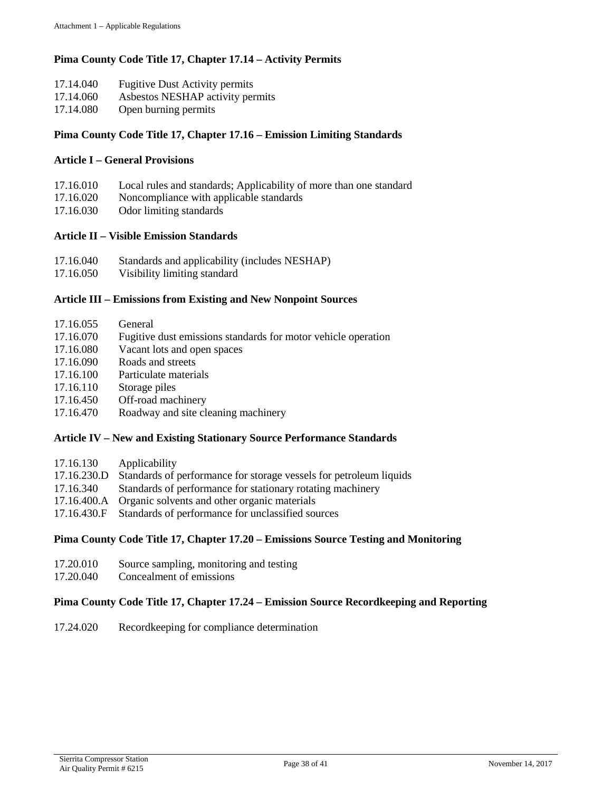### **Pima County Code Title 17, Chapter 17.14 – Activity Permits**

- 17.14.040 Fugitive Dust Activity permits
- 17.14.060 Asbestos NESHAP activity permits
- 17.14.080 Open burning permits

### **Pima County Code Title 17, Chapter 17.16 – Emission Limiting Standards**

### **Article I – General Provisions**

- 17.16.010 Local rules and standards; Applicability of more than one standard
- 17.16.020 Noncompliance with applicable standards
- 17.16.030 Odor limiting standards

### **Article II – Visible Emission Standards**

- 17.16.040 Standards and applicability (includes NESHAP)
- 17.16.050 Visibility limiting standard

### **Article III – Emissions from Existing and New Nonpoint Sources**

- 17.16.055 General
- 17.16.070 Fugitive dust emissions standards for motor vehicle operation
- 17.16.080 Vacant lots and open spaces
- 17.16.090 Roads and streets
- 17.16.100 Particulate materials
- 17.16.110 Storage piles
- 17.16.450 Off-road machinery
- 17.16.470 Roadway and site cleaning machinery

### **Article IV – New and Existing Stationary Source Performance Standards**

| 17.16.130 | Applicability                                                                  |
|-----------|--------------------------------------------------------------------------------|
|           | 17.16.230.D Standards of performance for storage vessels for petroleum liquids |
| 17.16.340 | Standards of performance for stationary rotating machinery                     |
|           | 17.16.400.A Organic solvents and other organic materials                       |
|           | 17.16.430.F Standards of performance for unclassified sources                  |

### **Pima County Code Title 17, Chapter 17.20 – Emissions Source Testing and Monitoring**

- 17.20.010 Source sampling, monitoring and testing
- 17.20.040 Concealment of emissions

### **Pima County Code Title 17, Chapter 17.24 – Emission Source Recordkeeping and Reporting**

17.24.020 Recordkeeping for compliance determination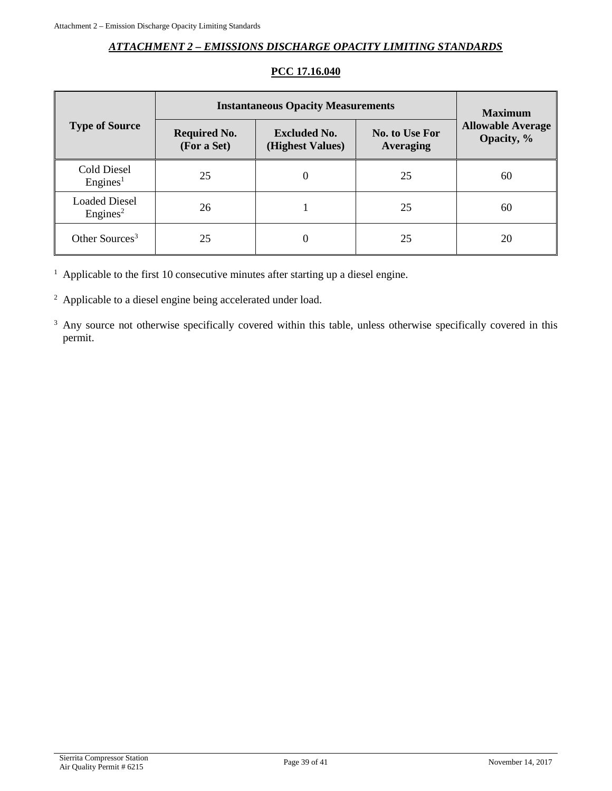### *ATTACHMENT 2 – EMISSIONS DISCHARGE OPACITY LIMITING STANDARDS*

<span id="page-38-0"></span>

|                                              | <b>Instantaneous Opacity Measurements</b> | <b>Maximum</b>                          |                                           |                                        |
|----------------------------------------------|-------------------------------------------|-----------------------------------------|-------------------------------------------|----------------------------------------|
| <b>Type of Source</b>                        | <b>Required No.</b><br>(For a Set)        | <b>Excluded No.</b><br>(Highest Values) | <b>No. to Use For</b><br><b>Averaging</b> | <b>Allowable Average</b><br>Opacity, % |
| <b>Cold Diesel</b><br>Engines <sup>1</sup>   | 25                                        |                                         | 25                                        | 60                                     |
| <b>Loaded Diesel</b><br>Engines <sup>2</sup> | 26                                        |                                         | 25                                        | 60                                     |
| Other Sources <sup>3</sup>                   | 25                                        |                                         | 25                                        | 20                                     |

## **PCC 17.16.040**

<sup>1</sup> Applicable to the first 10 consecutive minutes after starting up a diesel engine.

<sup>2</sup> Applicable to a diesel engine being accelerated under load.

<sup>3</sup> Any source not otherwise specifically covered within this table, unless otherwise specifically covered in this permit.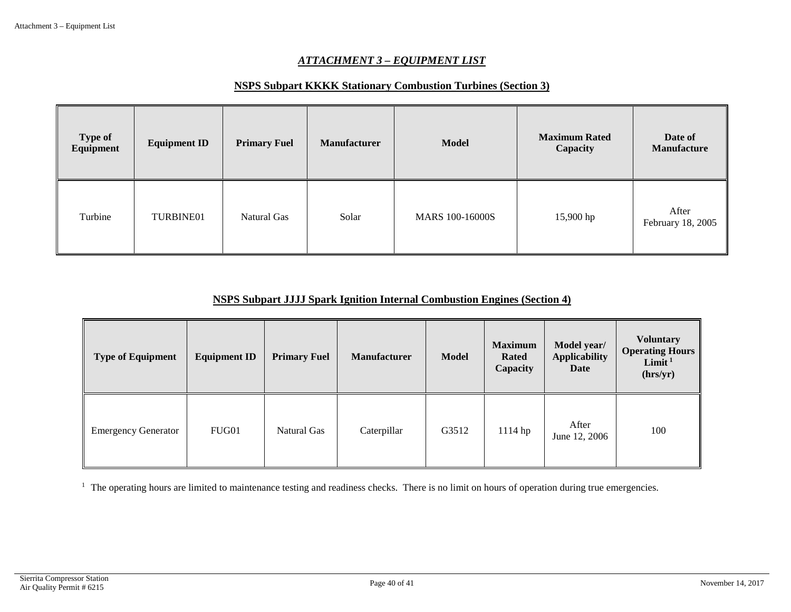### *ATTACHMENT 3 – EQUIPMENT LIST*

### **NSPS Subpart KKKK Stationary Combustion Turbines (Section 3)**

| <b>Type of</b><br>Equipment | <b>Equipment ID</b> | <b>Primary Fuel</b> | <b>Manufacturer</b> | <b>Model</b>           | <b>Maximum Rated</b><br>Capacity | Date of<br><b>Manufacture</b> |
|-----------------------------|---------------------|---------------------|---------------------|------------------------|----------------------------------|-------------------------------|
| Turbine                     | TURBINE01           | Natural Gas         | Solar               | <b>MARS 100-16000S</b> | 15,900 hp                        | After<br>February 18, 2005    |

### **NSPS Subpart JJJJ Spark Ignition Internal Combustion Engines (Section 4)**

<span id="page-39-0"></span>

| <b>Type of Equipment</b>   | <b>Equipment ID</b> | <b>Primary Fuel</b> | <b>Manufacturer</b> | <b>Model</b> | <b>Maximum</b><br><b>Rated</b><br>Capacity | Model year/<br><b>Applicability</b><br>Date | <b>Voluntary</b><br><b>Operating Hours</b><br>Limit <sup>1</sup><br>(hrs/yr) |
|----------------------------|---------------------|---------------------|---------------------|--------------|--------------------------------------------|---------------------------------------------|------------------------------------------------------------------------------|
| <b>Emergency Generator</b> | FUG01               | Natural Gas         | Caterpillar         | G3512        | $1114$ hp                                  | After<br>June 12, 2006                      | 100                                                                          |

<sup>1</sup> The operating hours are limited to maintenance testing and readiness checks. There is no limit on hours of operation during true emergencies.